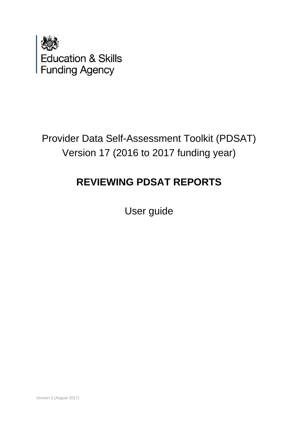

Provider Data Self-Assessment Toolkit (PDSAT) Version 17 (2016 to 2017 funding year)

# **REVIEWING PDSAT REPORTS**

User guide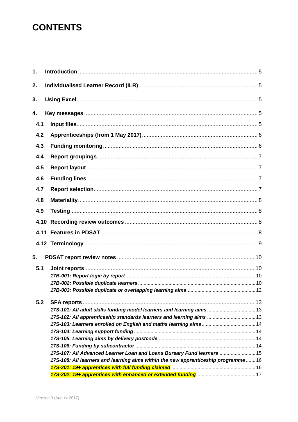## **CONTENTS**

| 1.   |                                                                                   |  |
|------|-----------------------------------------------------------------------------------|--|
| 2.   |                                                                                   |  |
| 3.   |                                                                                   |  |
| 4.   |                                                                                   |  |
| 4.1  |                                                                                   |  |
| 4.2  |                                                                                   |  |
| 4.3  |                                                                                   |  |
|      |                                                                                   |  |
| 4.4  |                                                                                   |  |
| 4.5  |                                                                                   |  |
| 4.6  |                                                                                   |  |
| 4.7  |                                                                                   |  |
|      |                                                                                   |  |
| 4.8  |                                                                                   |  |
| 4.9  |                                                                                   |  |
| 4.10 |                                                                                   |  |
|      |                                                                                   |  |
|      |                                                                                   |  |
| 5.   |                                                                                   |  |
| 5.1  |                                                                                   |  |
|      |                                                                                   |  |
|      |                                                                                   |  |
|      |                                                                                   |  |
| 5.2  |                                                                                   |  |
|      | 17S-101: All adult skills funding model learners and learning aims 13             |  |
|      | 17S-102: All apprenticeship standards learners and learning aims  13              |  |
|      |                                                                                   |  |
|      |                                                                                   |  |
|      |                                                                                   |  |
|      |                                                                                   |  |
|      | 17S-107: All Advanced Learner Loan and Loans Bursary Fund learners  15            |  |
|      | 17S-108: All learners and learning aims within the new apprenticeship programme16 |  |
|      |                                                                                   |  |
|      |                                                                                   |  |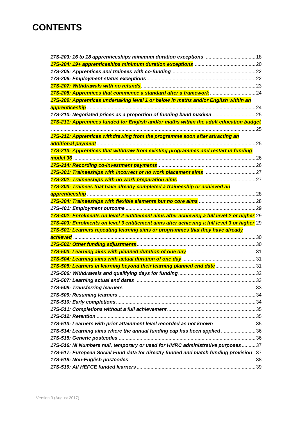## **CONTENTS**

| 17S-209: Apprentices undertaking level 1 or below in maths and/or English within an         |  |
|---------------------------------------------------------------------------------------------|--|
|                                                                                             |  |
| 17S-210: Negotiated prices as a proportion of funding band maxima                           |  |
| 17S-211: Apprentices funded for English and/or maths within the adult education budget      |  |
|                                                                                             |  |
| 17S-212: Apprentices withdrawing from the programme soon after attracting an                |  |
|                                                                                             |  |
| 17S-213: Apprentices that withdraw from existing programmes and restart in funding          |  |
|                                                                                             |  |
|                                                                                             |  |
|                                                                                             |  |
|                                                                                             |  |
| 17S-303: Trainees that have already completed a traineeship or achieved an                  |  |
|                                                                                             |  |
|                                                                                             |  |
|                                                                                             |  |
| 17S-402: Enrolments on level 2 entitlement aims after achieving a full level 2 or higher 29 |  |
| 17S-403: Enrolments on level 3 entitlement aims after achieving a full level 3 or higher 29 |  |
| 17S-501: Learners repeating learning aims or programmes that they have already              |  |
|                                                                                             |  |
|                                                                                             |  |
|                                                                                             |  |
|                                                                                             |  |
|                                                                                             |  |
| 17S-505: Learners in learning beyond their learning planned end date31                      |  |
|                                                                                             |  |
|                                                                                             |  |
|                                                                                             |  |
|                                                                                             |  |
|                                                                                             |  |
|                                                                                             |  |
|                                                                                             |  |
| 17S-513: Learners with prior attainment level recorded as not known 35                      |  |
| 17S-514: Learning aims where the annual funding cap has been applied36                      |  |
|                                                                                             |  |
| 17S-516: NI Numbers null, temporary or used for HMRC administrative purposes37              |  |
| 17S-517: European Social Fund data for directly funded and match funding provision37        |  |
|                                                                                             |  |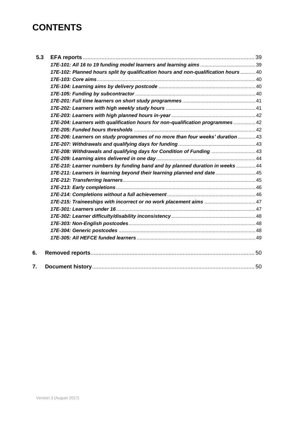## **CONTENTS**

| 5.3 |                                                                                     |  |
|-----|-------------------------------------------------------------------------------------|--|
|     |                                                                                     |  |
|     | 17E-102: Planned hours split by qualification hours and non-qualification hours  40 |  |
|     |                                                                                     |  |
|     |                                                                                     |  |
|     |                                                                                     |  |
|     |                                                                                     |  |
|     |                                                                                     |  |
|     |                                                                                     |  |
|     | 17E-204: Learners with qualification hours for non-qualification programmes  42     |  |
|     |                                                                                     |  |
|     | 17E-206: Learners on study programmes of no more than four weeks' duration  43      |  |
|     |                                                                                     |  |
|     | 17E-208: Withdrawals and qualifying days for Condition of Funding  43               |  |
|     |                                                                                     |  |
|     | 17E-210: Learner numbers by funding band and by planned duration in weeks  44       |  |
|     | 17E-211: Learners in learning beyond their learning planned end date45              |  |
|     |                                                                                     |  |
|     |                                                                                     |  |
|     |                                                                                     |  |
|     |                                                                                     |  |
|     |                                                                                     |  |
|     |                                                                                     |  |
|     |                                                                                     |  |
|     |                                                                                     |  |
|     |                                                                                     |  |
| 6.  |                                                                                     |  |
| 7.  |                                                                                     |  |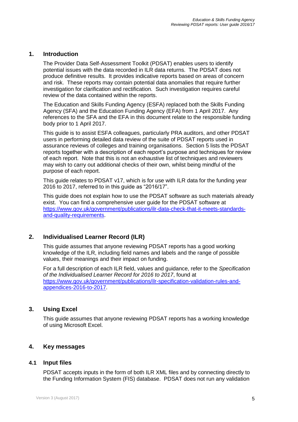#### <span id="page-4-0"></span>**1. Introduction**

The Provider Data Self-Assessment Toolkit (PDSAT) enables users to identify potential issues with the data recorded in ILR data returns. The PDSAT does not produce definitive results. It provides indicative reports based on areas of concern and risk. These reports may contain potential data anomalies that require further investigation for clarification and rectification. Such investigation requires careful review of the data contained within the reports.

The Education and Skills Funding Agency (ESFA) replaced both the Skills Funding Agency (SFA) and the Education Funding Agency (EFA) from 1 April 2017. Any references to the SFA and the EFA in this document relate to the responsible funding body prior to 1 April 2017.

This guide is to assist ESFA colleagues, particularly PRA auditors, and other PDSAT users in performing detailed data review of the suite of PDSAT reports used in assurance reviews of colleges and training organisations. Section 5 lists the PDSAT reports together with a description of each report's purpose and techniques for review of each report. Note that this is not an exhaustive list of techniques and reviewers may wish to carry out additional checks of their own, whilst being mindful of the purpose of each report.

This guide relates to PDSAT v17, which is for use with ILR data for the funding year 2016 to 2017, referred to in this guide as "2016/17".

This guide does not explain how to use the PDSAT software as such materials already exist. You can find a comprehensive user guide for the PDSAT software at [https://www.gov.uk/government/publications/ilr-data-check-that-it-meets-standards](https://www.gov.uk/government/publications/ilr-data-check-that-it-meets-standards-and-quality-requirements)[and-quality-requirements.](https://www.gov.uk/government/publications/ilr-data-check-that-it-meets-standards-and-quality-requirements)

#### <span id="page-4-1"></span>**2. Individualised Learner Record (ILR)**

This guide assumes that anyone reviewing PDSAT reports has a good working knowledge of the ILR, including field names and labels and the range of possible values, their meanings and their impact on funding.

For a full description of each ILR field, values and guidance, refer to the *Specification of the Individualised Learner Record for 2016 to 2017*, found at [https://www.gov.uk/government/publications/ilr-specification-validation-rules-and](https://www.gov.uk/government/publications/ilr-specification-validation-rules-and-appendices-2016-to-2017)[appendices-2016-to-2017.](https://www.gov.uk/government/publications/ilr-specification-validation-rules-and-appendices-2016-to-2017)

#### <span id="page-4-2"></span>**3. Using Excel**

<span id="page-4-3"></span>This guide assumes that anyone reviewing PDSAT reports has a working knowledge of using Microsoft Excel.

#### **4. Key messages**

#### <span id="page-4-4"></span>**4.1 Input files**

PDSAT accepts inputs in the form of both ILR XML files and by connecting directly to the Funding Information System (FIS) database. PDSAT does not run any validation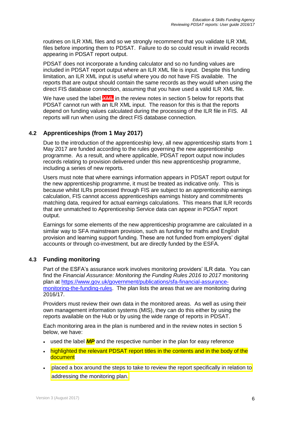routines on ILR XML files and so we strongly recommend that you validate ILR XML files before importing them to PDSAT. Failure to do so could result in invalid records appearing in PDSAT report output.

PDSAT does not incorporate a funding calculator and so no funding values are included in PDSAT report output where an ILR XML file is input. Despite this funding limitation, an ILR XML input is useful where you do not have FIS available. The reports that are output should contain the same records as they would when using the direct FIS database connection, assuming that you have used a valid ILR XML file.

We have used the label  $\frac{1}{2}$  in the review notes in section 5 below for reports that PDSAT cannot run with an ILR XML input. The reason for this is that the reports depend on funding values calculated during the processing of the ILR file in FIS. All reports will run when using the direct FIS database connection.

### <span id="page-5-0"></span>**4.2 Apprenticeships (from 1 May 2017)**

Due to the introduction of the apprenticeship levy, all new apprenticeship starts from 1 May 2017 are funded according to the rules governing the new apprenticeship programme. As a result, and where applicable, PDSAT report output now includes records relating to provision delivered under this new apprenticeship programme, including a series of new reports.

Users must note that where earnings information appears in PDSAT report output for the new apprenticeship programme, it must be treated as indicative only. This is because whilst ILRs processed through FIS are subject to an apprenticeship earnings calculation, FIS cannot access apprenticeships earnings history and commitments matching data, required for actual earnings calculations. This means that ILR records that are unmatched to Apprenticeship Service data can appear in PDSAT report output.

Earnings for some elements of the new apprenticeship programme are calculated in a similar way to SFA mainstream provision, such as funding for maths and English provision and learning support funding. These are not funded from employers' digital accounts or through co-investment, but are directly funded by the ESFA.

## <span id="page-5-1"></span>**4.3 Funding monitoring**

Part of the ESFA's assurance work involves monitoring providers' ILR data. You can find the *Financial Assurance: Monitoring the Funding Rules 2016 to 2017* monitoring plan at [https://www.gov.uk/government/publications/sfa-financial-assurance](https://www.gov.uk/government/publications/sfa-financial-assurance-monitoring-the-funding-rules)[monitoring-the-funding-rules.](https://www.gov.uk/government/publications/sfa-financial-assurance-monitoring-the-funding-rules) The plan lists the areas that we are monitoring during 2016/17.

Providers must review their own data in the monitored areas. As well as using their own management information systems (MIS), they can do this either by using the reports available on the Hub or by using the wide range of reports in PDSAT.

Each monitoring area in the plan is numbered and in the review notes in section 5 below, we have:

- used the label **MP** and the respective number in the plan for easy reference
- highlighted the relevant PDSAT report titles in the contents and in the body of the document
- placed a box around the steps to take to review the report specifically in relation to addressing the monitoring plan.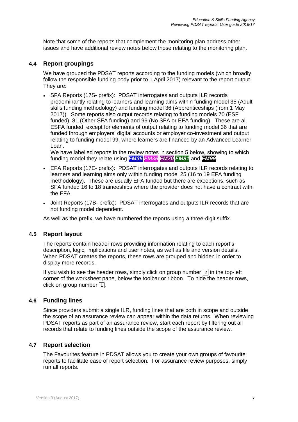Note that some of the reports that complement the monitoring plan address other issues and have additional review notes below those relating to the monitoring plan.

#### <span id="page-6-0"></span>**4.4 Report groupings**

We have grouped the PDSAT reports according to the funding models (which broadly follow the responsible funding body prior to 1 April 2017) relevant to the report output. They are:

 SFA Reports (17S- prefix): PDSAT interrogates and outputs ILR records predominantly relating to learners and learning aims within funding model 35 (Adult skills funding methodology) and funding model 36 (Apprenticeships (from 1 May 2017)). Some reports also output records relating to funding models 70 (ESF funded), 81 (Other SFA funding) and 99 (No SFA or EFA funding). These are all ESFA funded, except for elements of output relating to funding model 36 that are funded through employers' digital accounts or employer co-investment and output relating to funding model 99, where learners are financed by an Advanced Learner Loan.

We have labelled reports in the review notes in section 5 below, showing to which funding model they relate using *FM35 FM36 FM70 FM81* and *FM99*.

- EFA Reports (17E- prefix): PDSAT interrogates and outputs ILR records relating to learners and learning aims only within funding model 25 (16 to 19 EFA funding methodology). These are usually EFA funded but there are exceptions, such as SFA funded 16 to 18 traineeships where the provider does not have a contract with the EFA.
- Joint Reports (17B- prefix): PDSAT interrogates and outputs ILR records that are not funding model dependent.

<span id="page-6-1"></span>As well as the prefix, we have numbered the reports using a three-digit suffix.

#### **4.5 Report layout**

The reports contain header rows providing information relating to each report's description, logic, implications and user notes, as well as file and version details. When PDSAT creates the reports, these rows are grouped and hidden in order to display more records.

If you wish to see the header rows, simply click on group number  $\boxed{2}$  in the top-left corner of the worksheet pane, below the toolbar or ribbon. To hide the header rows, click on group number  $\overline{11}$ .

#### <span id="page-6-2"></span>**4.6 Funding lines**

Since providers submit a single ILR, funding lines that are both in scope and outside the scope of an assurance review can appear within the data returns. When reviewing PDSAT reports as part of an assurance review, start each report by filtering out all records that relate to funding lines outside the scope of the assurance review.

#### <span id="page-6-3"></span>**4.7 Report selection**

The Favourites feature in PDSAT allows you to create your own groups of favourite reports to facilitate ease of report selection. For assurance review purposes, simply run all reports.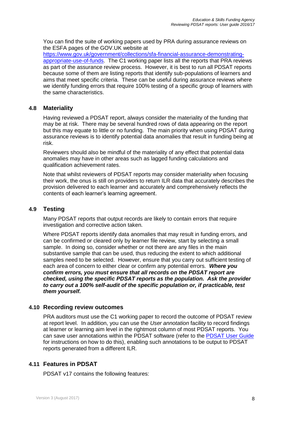You can find the suite of working papers used by PRA during assurance reviews on the ESFA pages of the GOV.UK website at

[https://www.gov.uk/government/collections/sfa-financial-assurance-demonstrating](https://www.gov.uk/government/collections/sfa-financial-assurance-demonstrating-appropriate-use-of-funds)[appropriate-use-of-funds.](https://www.gov.uk/government/collections/sfa-financial-assurance-demonstrating-appropriate-use-of-funds) The C1 working paper lists all the reports that PRA reviews as part of the assurance review process. However, it is best to run all PDSAT reports because some of them are listing reports that identify sub-populations of learners and aims that meet specific criteria. These can be useful during assurance reviews where we identify funding errors that require 100% testing of a specific group of learners with the same characteristics.

#### <span id="page-7-0"></span>**4.8 Materiality**

Having reviewed a PDSAT report, always consider the materiality of the funding that may be at risk. There may be several hundred rows of data appearing on the report but this may equate to little or no funding. The main priority when using PDSAT during assurance reviews is to identify potential data anomalies that result in funding being at risk.

Reviewers should also be mindful of the materiality of any effect that potential data anomalies may have in other areas such as lagged funding calculations and qualification achievement rates.

Note that whilst reviewers of PDSAT reports may consider materiality when focusing their work, the onus is still on providers to return ILR data that accurately describes the provision delivered to each learner and accurately and comprehensively reflects the contents of each learner's learning agreement.

#### <span id="page-7-1"></span>**4.9 Testing**

Many PDSAT reports that output records are likely to contain errors that require investigation and corrective action taken.

Where PDSAT reports identify data anomalies that may result in funding errors, and can be confirmed or cleared only by learner file review, start by selecting a small sample. In doing so, consider whether or not there are any files in the main substantive sample that can be used, thus reducing the extent to which additional samples need to be selected. However, ensure that you carry out sufficient testing of each area of concern to either clear or confirm any potential errors. *Where you confirm errors, you must ensure that all records on the PDSAT report are checked, using the specific PDSAT reports as the population. Ask the provider to carry out a 100% self-audit of the specific population or, if practicable, test them yourself.*

#### <span id="page-7-2"></span>**4.10 Recording review outcomes**

PRA auditors must use the C1 working paper to record the outcome of PDSAT review at report level. In addition, you can use the *User annotation* facility to record findings at learner or learning aim level in the rightmost column of most PDSAT reports. You can save user annotations within the PDSAT software (refer to the [PDSAT User Guide](https://www.gov.uk/government/publications/ilr-data-check-that-it-meets-standards-and-quality-requirements) for instructions on how to do this), enabling such annotations to be output to PDSAT reports generated from a different ILR.

#### <span id="page-7-3"></span>**4.11 Features in PDSAT**

PDSAT v17 contains the following features: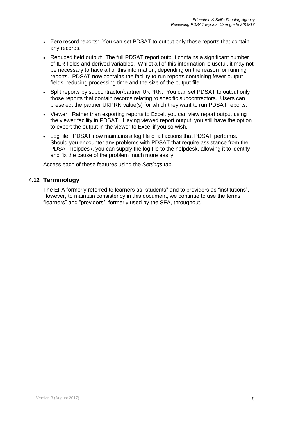- Zero record reports: You can set PDSAT to output only those reports that contain any records.
- Reduced field output: The full PDSAT report output contains a significant number of ILR fields and derived variables. Whilst all of this information is useful, it may not be necessary to have all of this information, depending on the reason for running reports. PDSAT now contains the facility to run reports containing fewer output fields, reducing processing time and the size of the output file.
- Split reports by subcontractor/partner UKPRN: You can set PDSAT to output only those reports that contain records relating to specific subcontractors. Users can preselect the partner UKPRN value(s) for which they want to run PDSAT reports.
- Viewer: Rather than exporting reports to Excel, you can view report output using the viewer facility in PDSAT. Having viewed report output, you still have the option to export the output in the viewer to Excel if you so wish.
- Log file: PDSAT now maintains a log file of all actions that PDSAT performs. Should you encounter any problems with PDSAT that require assistance from the PDSAT helpdesk, you can supply the log file to the helpdesk, allowing it to identify and fix the cause of the problem much more easily.

<span id="page-8-0"></span>Access each of these features using the *Settings* tab.

#### **4.12 Terminology**

The EFA formerly referred to learners as "students" and to providers as "institutions". However, to maintain consistency in this document, we continue to use the terms "learners" and "providers", formerly used by the SFA, throughout.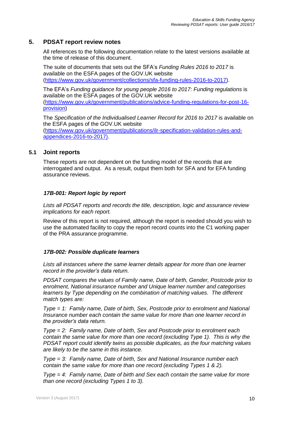#### **5. PDSAT report review notes**

<span id="page-9-0"></span>All references to the following documentation relate to the latest versions available at the time of release of this document.

The suite of documents that sets out the SFA's *Funding Rules 2016 to 2017* is available on the ESFA pages of the GOV.UK website [\(https://www.gov.uk/government/collections/sfa-funding-rules-2016-to-2017\)](https://www.gov.uk/government/collections/sfa-funding-rules-2016-to-2017).

The EFA's *Funding guidance for young people 2016 to 2017: Funding regulations* is available on the ESFA pages of the GOV.UK website [\(https://www.gov.uk/government/publications/advice-funding-regulations-for-post-16](https://www.gov.uk/government/publications/advice-funding-regulations-for-post-16-provision) [provision\)](https://www.gov.uk/government/publications/advice-funding-regulations-for-post-16-provision)

The *Specification of the Individualised Learner Record for 2016 to 2017* is available on the ESFA pages of the GOV.UK website [\(https://www.gov.uk/government/publications/ilr-specification-validation-rules-and](https://www.gov.uk/government/publications/ilr-specification-validation-rules-and-appendices-2016-to-2017)[appendices-2016-to-2017\)](https://www.gov.uk/government/publications/ilr-specification-validation-rules-and-appendices-2016-to-2017).

#### <span id="page-9-1"></span>**5.1 Joint reports**

These reports are not dependent on the funding model of the records that are interrogated and output. As a result, output them both for SFA and for EFA funding assurance reviews.

#### <span id="page-9-2"></span>*17B-001: Report logic by report*

*Lists all PDSAT reports and records the title, description, logic and assurance review implications for each report.*

Review of this report is not required, although the report is needed should you wish to use the automated facility to copy the report record counts into the C1 working paper of the PRA assurance programme.

#### <span id="page-9-3"></span>*17B-002: Possible duplicate learners*

Lists all instances where the same learner details appear for more than one learner *record in the provider's data return.*

*PDSAT compares the values of Family name, Date of birth, Gender, Postcode prior to enrolment, National insurance number and Unique learner number and categorises learners by Type depending on the combination of matching values. The different match types are:*

*Type = 1: Family name, Date of birth, Sex, Postcode prior to enrolment and National Insurance number each contain the same value for more than one learner record in the provider's data return.*

*Type = 2: Family name, Date of birth, Sex and Postcode prior to enrolment each contain the same value for more than one record (excluding Type 1). This is why the PDSAT report could identify twins as possible duplicates, as the four matching values are likely to be the same in this instance.*

*Type = 3: Family name, Date of birth, Sex and National Insurance number each contain the same value for more than one record (excluding Types 1 & 2).*

*Type = 4: Family name, Date of birth and Sex each contain the same value for more than one record (excluding Types 1 to 3).*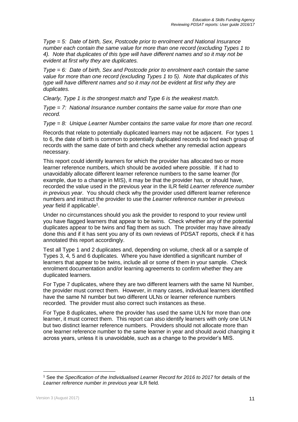*Type = 5: Date of birth, Sex, Postcode prior to enrolment and National Insurance number each contain the same value for more than one record (excluding Types 1 to 4). Note that duplicates of this type will have different names and so it may not be evident at first why they are duplicates.*

*Type = 6: Date of birth, Sex and Postcode prior to enrolment each contain the same value for more than one record (excluding Types 1 to 5). Note that duplicates of this type will have different names and so it may not be evident at first why they are duplicates.*

*Clearly, Type 1 is the strongest match and Type 6 is the weakest match.*

*Type = 7: National Insurance number contains the same value for more than one record.*

*Type = 8: Unique Learner Number contains the same value for more than one record.*

Records that relate to potentially duplicated learners may not be adjacent. For types 1 to 6, the date of birth is common to potentially duplicated records so find each group of records with the same date of birth and check whether any remedial action appears necessary.

This report could identify learners for which the provider has allocated two or more learner reference numbers, which should be avoided where possible. If it had to unavoidably allocate different learner reference numbers to the same learner (for example, due to a change in MIS), it may be that the provider has, or should have, recorded the value used in the previous year in the ILR field *Learner reference number in previous year*. You should check why the provider used different learner reference numbers and instruct the provider to use the *Learner reference number in previous*  year field if applicable<sup>1</sup>.

Under no circumstances should you ask the provider to respond to your review until you have flagged learners that appear to be twins. Check whether any of the potential duplicates appear to be twins and flag them as such. The provider may have already done this and if it has sent you any of its own reviews of PDSAT reports, check if it has annotated this report accordingly.

Test all Type 1 and 2 duplicates and, depending on volume, check all or a sample of Types 3, 4, 5 and 6 duplicates. Where you have identified a significant number of learners that appear to be twins, include all or some of them in your sample. Check enrolment documentation and/or learning agreements to confirm whether they are duplicated learners.

For Type 7 duplicates, where they are two different learners with the same NI Number, the provider must correct them. However, in many cases, individual learners identified have the same NI number but two different ULNs or learner reference numbers recorded. The provider must also correct such instances as these.

For Type 8 duplicates, where the provider has used the same ULN for more than one learner, it must correct them. This report can also identify learners with only one ULN but two distinct learner reference numbers. Providers should not allocate more than one learner reference number to the same learner in year and should avoid changing it across years, unless it is unavoidable, such as a change to the provider's MIS.

<sup>1</sup> See the *Specification of the Individualised Learner Record for 2016 to 2017* for details of the *Learner reference number in previous year* ILR field.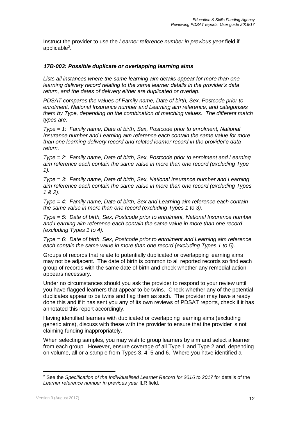Instruct the provider to use the *Learner reference number in previous year* field if applicable<sup>2</sup>.

#### <span id="page-11-0"></span>*17B-003: Possible duplicate or overlapping learning aims*

*Lists all instances where the same learning aim details appear for more than one learning delivery record relating to the same learner details in the provider's data return, and the dates of delivery either are duplicated or overlap.*

*PDSAT compares the values of Family name, Date of birth, Sex, Postcode prior to enrolment, National Insurance number and Learning aim reference, and categorises them by Type, depending on the combination of matching values. The different match types are:*

*Type = 1: Family name, Date of birth, Sex, Postcode prior to enrolment, National Insurance number and Learning aim reference each contain the same value for more than one learning delivery record and related learner record in the provider's data return.*

*Type = 2: Family name, Date of birth, Sex, Postcode prior to enrolment and Learning aim reference each contain the same value in more than one record (excluding Type 1).*

*Type = 3: Family name, Date of birth, Sex, National Insurance number and Learning aim reference each contain the same value in more than one record (excluding Types 1 & 2).*

*Type = 4: Family name, Date of birth, Sex and Learning aim reference each contain the same value in more than one record (excluding Types 1 to 3).*

*Type = 5: Date of birth, Sex, Postcode prior to enrolment, National Insurance number and Learning aim reference each contain the same value in more than one record (excluding Types 1 to 4).*

*Type = 6: Date of birth, Sex, Postcode prior to enrolment and Learning aim reference each contain the same value in more than one record (excluding Types 1 to 5).*

Groups of records that relate to potentially duplicated or overlapping learning aims may not be adjacent. The date of birth is common to all reported records so find each group of records with the same date of birth and check whether any remedial action appears necessary.

Under no circumstances should you ask the provider to respond to your review until you have flagged learners that appear to be twins. Check whether any of the potential duplicates appear to be twins and flag them as such. The provider may have already done this and if it has sent you any of its own reviews of PDSAT reports, check if it has annotated this report accordingly.

Having identified learners with duplicated or overlapping learning aims (excluding generic aims), discuss with these with the provider to ensure that the provider is not claiming funding inappropriately.

When selecting samples, you may wish to group learners by aim and select a learner from each group. However, ensure coverage of all Type 1 and Type 2 and, depending on volume, all or a sample from Types 3, 4, 5 and 6. Where you have identified a

<sup>2</sup> See the *Specification of the Individualised Learner Record for 2016 to 2017* for details of the *Learner reference number in previous year* ILR field.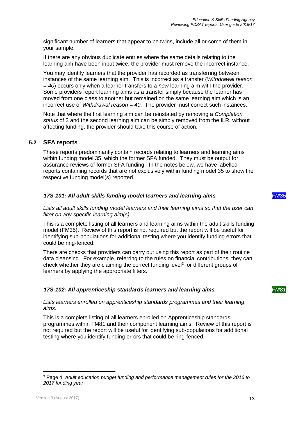significant number of learners that appear to be twins, include all or some of them in your sample.

If there are any obvious duplicate entries where the same details relating to the learning aim have been input twice, the provider must remove the incorrect instance.

You may identify learners that the provider has recorded as transferring between instances of the same learning aim. This is incorrect as a transfer (*Withdrawal reason = 40*) occurs only when a learner transfers to a *new* learning aim with the provider. Some providers report learning aims as a transfer simply because the learner has moved from one class to another but remained on the same learning aim which is an incorrect use of *Withdrawal reason = 40*. The provider must correct such instances.

Note that where the first learning aim can be reinstated by removing a *Completion status* of 3 and the second learning aim can be simply removed from the ILR, without affecting funding, the provider should take this course of action.

#### <span id="page-12-0"></span>**5.2 SFA reports**

These reports predominantly contain records relating to learners and learning aims within funding model 35, which the former SFA funded. They must be output for assurance reviews of former SFA funding. In the notes below, we have labelled reports containing records that are not exclusively within funding model 35 to show the respective funding model(s) reported.

#### <span id="page-12-1"></span>*17S-101: All adult skills funding model learners and learning aims FM35*

*Lists all adult skills funding model learners and their learning aims so that the user can filter on any specific learning aim(s).*

This is a complete listing of all learners and learning aims within the adult skills funding model (FM35). Review of this report is not required but the report will be useful for identifying sub-populations for additional testing where you identify funding errors that could be ring-fenced.

There are checks that providers can carry out using this report as part of their routine data cleansing. For example, referring to the rules on financial contributions, they can check whether they are claiming the correct funding level<sup>3</sup> for different groups of learners by applying the appropriate filters.

#### <span id="page-12-2"></span>*17S-102: All apprenticeship standards learners and learning aims FM81*

*Lists learners enrolled on apprenticeship standards programmes and their learning aims.*

This is a complete listing of all learners enrolled on Apprenticeship standards programmes within FM81 and their component learning aims. Review of this report is not required but the report will be useful for identifying sub-populations for additional testing where you identify funding errors that could be ring-fenced.

<sup>3</sup> Page 4, *Adult education budget funding and performance management rules for the 2016 to 2017 funding year*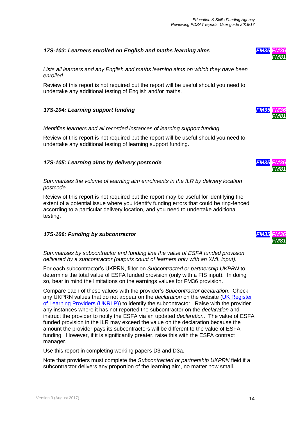#### <span id="page-13-0"></span>*17S-103: Learners enrolled on English and maths learning aims FM35 FM36*

*Lists all learners and any English and maths learning aims on which they have been enrolled.*

Review of this report is not required but the report will be useful should you need to undertake any additional testing of English and/or maths.

#### <span id="page-13-1"></span>*17S-104: Learning support funding FM35 FM36*

*Identifies learners and all recorded instances of learning support funding.*

Review of this report is not required but the report will be useful should you need to undertake any additional testing of learning support funding.

#### <span id="page-13-2"></span>*17S-105: Learning aims by delivery postcode*

*Summarises the volume of learning aim enrolments in the ILR by delivery location postcode.*

Review of this report is not required but the report may be useful for identifying the extent of a potential issue where you identify funding errors that could be ring-fenced according to a particular delivery location, and you need to undertake additional testing.

#### <span id="page-13-3"></span>*17S-106: Funding by subcontractor FM35 FM36*

*Summarises by subcontractor and funding line the value of ESFA funded provision delivered by a subcontractor (outputs count of learners only with an XML input).*

For each subcontractor's UKPRN, filter on *Subcontracted or partnership UKPRN* to determine the total value of ESFA funded provision (only with a FIS input). In doing so, bear in mind the limitations on the earnings values for FM36 provision.

Compare each of these values with the provider's *Subcontractor declaration*. Check any UKPRN values that do not appear on the *declaration* on the website [\(UK Register](http://www.ukrlp.co.uk/)  [of Learning Providers \(UKRLP\)\)](http://www.ukrlp.co.uk/) to identify the subcontractor. Raise with the provider any instances where it has not reported the subcontractor on the *declaration* and instruct the provider to notify the ESFA via an updated *declaration*. The value of ESFA funded provision in the ILR may exceed the value on the declaration because the amount the provider pays its subcontractors will be different to the value of ESFA funding. However, if it is significantly greater, raise this with the ESFA contract manager.

Use this report in completing working papers D3 and D3a.

Note that providers must complete the *Subcontracted or partnership UKPRN* field if a subcontractor delivers any proportion of the learning aim, no matter how small.







*FM81*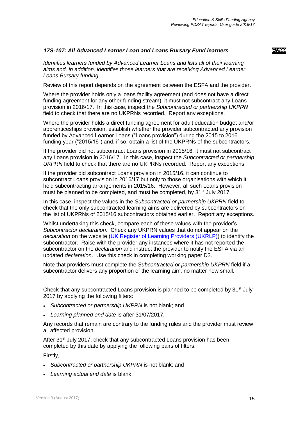#### <span id="page-14-0"></span>*17S-107: All Advanced Learner Loan and Loans Bursary Fund learners FM99*

*Identifies learners funded by Advanced Learner Loans and lists all of their learning aims and, in addition, identifies those learners that are receiving Advanced Learner Loans Bursary funding.*

Review of this report depends on the agreement between the ESFA and the provider.

Where the provider holds only a loans facility agreement (and does not have a direct funding agreement for any other funding stream), it must not subcontract any Loans provision in 2016/17. In this case, inspect the *Subcontracted or partnership UKPRN* field to check that there are no UKPRNs recorded. Report any exceptions.

Where the provider holds a direct funding agreement for adult education budget and/or apprenticeships provision, establish whether the provider subcontracted any provision funded by Advanced Learner Loans ("Loans provision") during the 2015 to 2016 funding year ("2015/16") and, if so, obtain a list of the UKPRNs of the subcontractors.

If the provider did not subcontract Loans provision in 2015/16, it must not subcontract any Loans provision in 2016/17. In this case, inspect the *Subcontracted or partnership UKPRN* field to check that there are no UKPRNs recorded. Report any exceptions.

If the provider did subcontract Loans provision in 2015/16, it can continue to subcontract Loans provision in 2016/17 but only to those organisations with which it held subcontracting arrangements in 2015/16. However, all such Loans provision must be planned to be completed, and must be completed, by 31<sup>st</sup> July 2017.

In this case, inspect the values in the *Subcontracted or partnership UKPRN* field to check that the only subcontracted learning aims are delivered by subcontractors on the list of UKPRNs of 2015/16 subcontractors obtained earlier. Report any exceptions.

Whilst undertaking this check, compare each of these values with the provider's *Subcontractor declaration*. Check any UKPRN values that do not appear on the *declaration* on the website [\(UK Register of Learning Providers \(UKRLP\)\)](http://www.ukrlp.co.uk/) to identify the subcontractor. Raise with the provider any instances where it has not reported the subcontractor on the *declaration* and instruct the provider to notify the ESFA via an updated *declaration*. Use this check in completing working paper D3.

Note that providers must complete the *Subcontracted or partnership UKPRN* field if a subcontractor delivers any proportion of the learning aim, no matter how small.

Check that any subcontracted Loans provision is planned to be completed by  $31<sup>st</sup>$  July 2017 by applying the following filters:

- *Subcontracted or partnership UKPRN* is not blank; and
- *Learning planned end date* is after 31/07/2017.

Any records that remain are contrary to the funding rules and the provider must review all affected provision.

After 31<sup>st</sup> July 2017, check that any subcontracted Loans provision has been completed by this date by applying the following pairs of filters.

Firstly,

- *Subcontracted or partnership UKPRN* is not blank; and
- *Learning actual end date* is blank.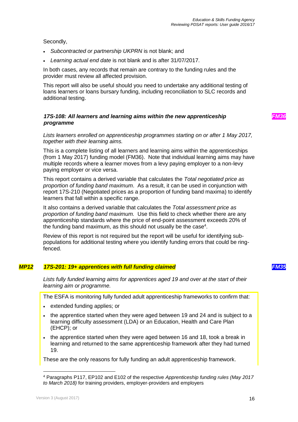Secondly,

- *Subcontracted or partnership UKPRN* is not blank; and
- *Learning actual end date* is not blank and is after 31/07/2017.

In both cases, any records that remain are contrary to the funding rules and the provider must review all affected provision.

This report will also be useful should you need to undertake any additional testing of loans learners or loans bursary funding, including reconciliation to SLC records and additional testing.

#### <span id="page-15-0"></span>*17S-108: All learners and learning aims within the new apprenticeship programme*

*Lists learners enrolled on apprenticeship programmes starting on or after 1 May 2017, together with their learning aims.*

This is a complete listing of all learners and learning aims within the apprenticeships (from 1 May 2017) funding model (FM36). Note that individual learning aims may have multiple records where a learner moves from a levy paying employer to a non-levy paying employer or vice versa.

This report contains a derived variable that calculates the *Total negotiated price as proportion of funding band maximum*. As a result, it can be used in conjunction with report 17S-210 (Negotiated prices as a proportion of funding band maxima) to identify learners that fall within a specific range.

It also contains a derived variable that calculates the *Total assessment price as proportion of funding band maximum.* Use this field to check whether there are any apprenticeship standards where the price of end-point assessment exceeds 20% of the funding band maximum, as this should not usually be the case $4$ .

Review of this report is not required but the report will be useful for identifying subpopulations for additional testing where you identify funding errors that could be ringfenced.

#### *MP12 17S-201: 19+ apprentices with full funding claimed FM35*

<span id="page-15-1"></span>*Lists fully funded learning aims for apprentices aged 19 and over at the start of their learning aim or programme.*

The ESFA is monitoring fully funded adult apprenticeship frameworks to confirm that:

- extended funding applies; or
- the apprentice started when they were aged between 19 and 24 and is subject to a learning difficulty assessment (LDA) or an Education, Health and Care Plan (EHCP); or
- the apprentice started when they were aged between 16 and 18, took a break in learning and returned to the same apprenticeship framework after they had turned 19.

These are the only reasons for fully funding an adult apprenticeship framework.

l

*FM36*

<sup>4</sup> Paragraphs P117, EP102 and E102 of the respective *Apprenticeship funding rules (May 2017 to March 2018)* for training providers, employer-providers and employers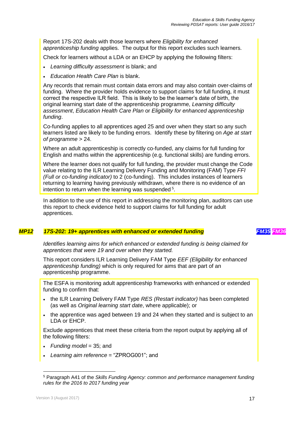Report 17S-202 deals with those learners where *Eligibility for enhanced apprenticeship funding* applies. The output for this report excludes such learners.

Check for learners without a LDA or an EHCP by applying the following filters:

- *Learning difficulty assessment* is blank; and
- *Education Health Care Plan is blank.*

Any records that remain must contain data errors and may also contain over-claims of funding. Where the provider holds evidence to support claims for full funding, it must correct the respective ILR field. This is likely to be the learner's date of birth, the original learning start date of the apprenticeship programme, *Learning difficulty assessment*, *Education Health Care Plan* or *Eligibility for enhanced apprenticeship funding*.

Co-funding applies to all apprentices aged 25 and over when they start so any such learners listed are likely to be funding errors. Identify these by filtering on *Age at start of programme* > 24.

Where an adult apprenticeship is correctly co-funded, any claims for full funding for English and maths within the apprenticeship (e.g. functional skills) are funding errors.

Where the learner does not qualify for full funding, the provider must change the Code value relating to the ILR Learning Delivery Funding and Monitoring (FAM) Type *FFI (Full or co-funding indicator)* to 2 (co-funding). This includes instances of learners returning to learning having previously withdrawn, where there is no evidence of an intention to return when the learning was suspended<sup>5</sup>.

<span id="page-16-0"></span>In addition to the use of this report in addressing the monitoring plan, auditors can use this report to check evidence held to support claims for full funding for adult apprentices.

#### *MP12 17S-202: 19+ apprentices with enhanced or extended funding FM35 FM36*

*Identifies learning aims for which enhanced or extended funding is being claimed for apprentices that were 19 and over when they started.*

This report considers ILR Learning Delivery FAM Type *EEF (Eligibility for enhanced apprenticeship funding)* which is only required for aims that are part of an apprenticeship programme.

The ESFA is monitoring adult apprenticeship frameworks with enhanced or extended funding to confirm that:

- the ILR Learning Delivery FAM Type *RES (Restart indicator)* has been completed (as well as *Original learning start date*, where applicable); or
- the apprentice was aged between 19 and 24 when they started and is subject to an LDA or EHCP.

Exclude apprentices that meet these criteria from the report output by applying all of the following filters:

- *Funding model* = 35; and
- *Learning aim reference* = "ZPROG001"; and

<sup>5</sup> Paragraph A41 of the *Skills Funding Agency: common and performance management funding rules for the 2016 to 2017 funding year*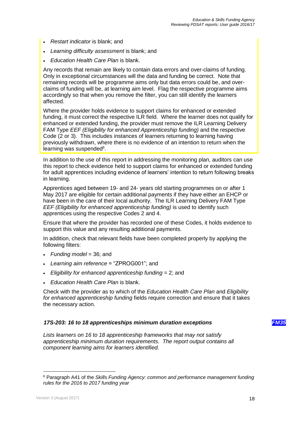- *Restart indicator* is blank; and
- *Learning difficulty assessment* is blank; and
- *Education Health Care Plan* is blank.

Any records that remain are likely to contain data errors and over-claims of funding. Only in exceptional circumstances will the data and funding be correct. Note that remaining records will be programme aims only but data errors could be, and overclaims of funding will be, at learning aim level. Flag the respective programme aims accordingly so that when you remove the filter, you can still identify the learners affected.

Where the provider holds evidence to support claims for enhanced or extended funding, it must correct the respective ILR field. Where the learner does not qualify for enhanced or extended funding, the provider must remove the ILR Learning Delivery FAM Type *EEF (Eligibility for enhanced Apprenticeship funding)* and the respective Code (2 or 3). This includes instances of learners returning to learning having previously withdrawn, where there is no evidence of an intention to return when the learning was suspended<sup>6</sup>.

In addition to the use of this report in addressing the monitoring plan, auditors can use this report to check evidence held to support claims for enhanced or extended funding for adult apprentices including evidence of learners' intention to return following breaks in learning.

Apprentices aged between 19- and 24- years old starting programmes on or after 1 May 2017 are eligible for certain additional payments if they have either an EHCP or have been in the care of their local authority. The ILR Learning Delivery FAM Type *EEF (Eligibility for enhanced apprenticeship funding)* is used to identify such apprentices using the respective Codes 2 and 4.

Ensure that where the provider has recorded one of these Codes, it holds evidence to support this value and any resulting additional payments.

In addition, check that relevant fields have been completed properly by applying the following filters:

- *Funding model* = 36; and
- *Learning aim reference* = "ZPROG001"; and
- *Eligibility for enhanced apprenticeship funding* = 2; and
- *Education Health Care Plan* is blank.

Check with the provider as to which of the *Education Health Care Plan* and *Eligibility for enhanced apprenticeship funding* fields require correction and ensure that it takes the necessary action.

#### <span id="page-17-0"></span>*17S-203: 16 to 18 apprenticeships minimum duration exceptions FM35*

*Lists learners on 16 to 18 apprenticeship frameworks that may not satisfy apprenticeship minimum duration requirements. The report output contains all component learning aims for learners identified.*

<sup>6</sup> Paragraph A41 of the *Skills Funding Agency: common and performance management funding rules for the 2016 to 2017 funding year*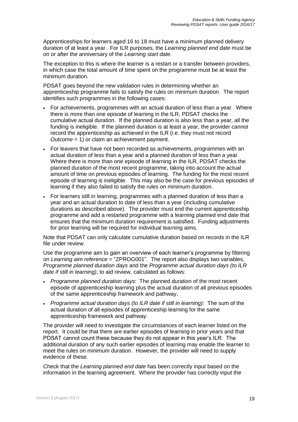Apprenticeships for learners aged 16 to 18 must have a minimum planned delivery duration of at least a year. For ILR purposes, the *Learning planned end date* must be on or after the anniversary of the *Learning start date*.

The exception to this is where the learner is a restart or a transfer between providers, in which case the total amount of time spent on the programme must be at least the minimum duration.

PDSAT goes beyond the new validation rules in determining whether an apprenticeship programme fails to satisfy the rules on minimum duration. The report identifies such programmes in the following cases:

- For achievements, programmes with an actual duration of less than a year. Where there is more than one episode of learning in the ILR, PDSAT checks the cumulative actual duration. If the planned duration is also less than a year, all the funding is ineligible. If the planned duration is at least a year, the provider cannot record the apprenticeship as achieved in the ILR (i.e. they must not record *Outcome* = 1) or claim an achievement payment.
- For leavers that have not been recorded as achievements, programmes with an actual duration of less than a year and a planned duration of less than a year. Where there is more than one episode of learning in the ILR, PDSAT checks the planned duration of the most recent programme, taking into account the actual amount of time on previous episodes of learning. The funding for the most recent episode of learning is ineligible. This may also be the case for previous episodes of learning if they also failed to satisfy the rules on minimum duration.
- For learners still in learning, programmes with a planned duration of less than a year and an actual duration to date of less than a year (including cumulative durations as described above). The provider must end the current apprenticeship programme and add a restarted programme with a learning planned end date that ensures that the minimum duration requirement is satisfied. Funding adjustments for prior learning will be required for individual learning aims.

Note that PDSAT can only calculate cumulative duration based on records in the ILR file under review.

Use the programme aim to gain an overview of each learner's programme by filtering on *Learning aim reference* = "ZPROG001". The report also displays two variables, *Programme planned duration days* and the *Programme actual duration days (to ILR date if still in learning)*, to aid review, calculated as follows:

- *Programme planned duration days*: The planned duration of the most recent episode of apprenticeship learning plus the actual duration of all previous episodes of the same apprenticeship framework and pathway.
- *Programme actual duration days (to ILR date if still in learning)*: The sum of the actual duration of all episodes of apprenticeship learning for the same apprenticeship framework and pathway.

The provider will need to investigate the circumstances of each learner listed on the report. It could be that there are earlier episodes of learning in prior years and that PDSAT cannot count these because they do not appear in this year's ILR. The additional duration of any such earlier episodes of learning may enable the learner to meet the rules on minimum duration. However, the provider will need to supply evidence of these.

Check that the *Learning planned end date* has been correctly input based on the information in the learning agreement. Where the provider has correctly input the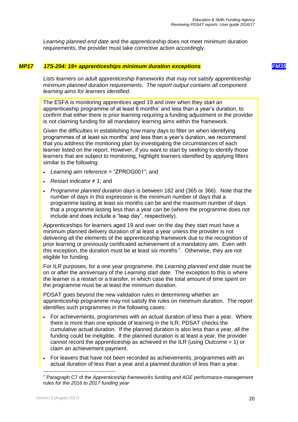<span id="page-19-0"></span>*Learning planned end date* and the apprenticeship does not meet minimum duration requirements, the provider must take corrective action accordingly.

#### *MP17 17S-204: 19+ apprenticeships minimum duration exceptions FM35*

*Lists learners on adult apprenticeship frameworks that may not satisfy apprenticeship minimum planned duration requirements. The report output contains all component learning aims for learners identified.*

The ESFA is monitoring apprentices aged 19 and over when they start an apprenticeship programme of at least 6 months' and less than a year's duration, to confirm that either there is prior learning requiring a funding adjustment or the provider is not claiming funding for all mandatory learning aims within the framework.

Given the difficulties in establishing how many days to filter on when identifying programmes of at least six months' and less than a year's duration, we recommend that you address the monitoring plan by investigating the circumstances of each learner listed on the report. However, if you want to start by seeking to identify those learners that are subject to monitoring, highlight learners identified by applying filters similar to the following:

- *Learning aim reference* = "ZPROG001"; and
- *Restart indicator* ≠ 1; and
- *Programme planned duration days* is between 182 and (365 or 366). Note that the number of days in this expression is the minimum number of days that a programme lasting at least six months can be and the maximum number of days that a programme lasting less than a year can be (where the programme does not include and does include a "leap day", respectively).

Apprenticeships for learners aged 19 and over on the day they start must have a minimum planned delivery duration of at least a year unless the provider is not delivering all the elements of the apprenticeship framework due to the recognition of prior learning or previously certificated achievement of a mandatory aim. Even with this exception, the duration must be at least six months<sup>7</sup>. Otherwise, they are not eligible for funding.

For ILR purposes, for a one year programme, the *Learning planned end date* must be on or after the anniversary of the *Learning start date*. The exception to this is where the learner is a restart or a transfer, in which case the total amount of time spent on the programme must be at least the minimum duration.

PDSAT goes beyond the new validation rules in determining whether an apprenticeship programme may not satisfy the rules on minimum duration. The report identifies such programmes in the following cases:

- For achievements, programmes with an actual duration of less than a year. Where there is more than one episode of learning in the ILR, PDSAT checks the cumulative actual duration. If the planned duration is also less than a year, all the funding could be ineligible. If the planned duration is at least a year, the provider cannot record the apprenticeship as achieved in the ILR (using *Outcome* = 1) or claim an achievement payment.
- For leavers that have not been recorded as achievements, programmes with an actual duration of less than a year and a planned duration of less than a year.

<sup>7</sup> Paragraph C7 of the *Apprenticeship frameworks funding and AGE performance-management rules for the 2016 to 2017 funding year*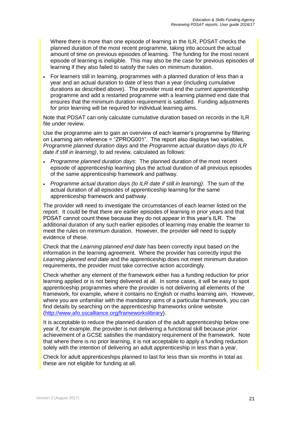Where there is more than one episode of learning in the ILR, PDSAT checks the planned duration of the most recent programme, taking into account the actual amount of time on previous episodes of learning. The funding for the most recent episode of learning is ineligible. This may also be the case for previous episodes of learning if they also failed to satisfy the rules on minimum duration.

 For learners still in learning, programmes with a planned duration of less than a year and an actual duration to date of less than a year (including cumulative durations as described above). The provider must end the current apprenticeship programme and add a restarted programme with a learning planned end date that ensures that the minimum duration requirement is satisfied. Funding adjustments for prior learning will be required for individual learning aims.

Note that PDSAT can only calculate cumulative duration based on records in the ILR file under review.

Use the programme aim to gain an overview of each learner's programme by filtering on Learning aim reference = "ZPROG001". The report also displays two variables, *Programme planned duration days* and the *Programme actual duration days (to ILR date if still in learning)*, to aid review, calculated as follows:

- *Programme planned duration days*: The planned duration of the most recent episode of apprenticeship learning plus the actual duration of all previous episodes of the same apprenticeship framework and pathway.
- *Programme actual duration days (to ILR date if still in learning)*: The sum of the actual duration of all episodes of apprenticeship learning for the same apprenticeship framework and pathway.

The provider will need to investigate the circumstances of each learner listed on the report. It could be that there are earlier episodes of learning in prior years and that PDSAT cannot count these because they do not appear in this year's ILR. The additional duration of any such earlier episodes of learning may enable the learner to meet the rules on minimum duration. However, the provider will need to supply evidence of these.

Check that the *Learning planned end date* has been correctly input based on the information in the learning agreement. Where the provider has correctly input the *Learning planned end date* and the apprenticeship does not meet minimum duration requirements, the provider must take corrective action accordingly.

Check whether any element of the framework either has a funding reduction for prior learning applied or is not being delivered at all. In some cases, it will be easy to spot apprenticeship programmes where the provider is not delivering all elements of the framework, for example, where it contains no English or maths learning aim. However, where you are unfamiliar with the mandatory aims of a particular framework, you can find details by searching on the apprenticeship frameworks online website [\(http://www.afo.sscalliance.org/frameworkslibrary\)](http://www.afo.sscalliance.org/frameworkslibrary).

It is acceptable to reduce the planned duration of the adult apprenticeship below one year if, for example, the provider is not delivering a functional skill because prior achievement of a GCSE satisfies the mandatory requirement of the framework. Note that where there is no prior learning, it is not acceptable to apply a funding reduction solely with the intention of delivering an adult apprenticeship in less than a year.

Check for adult apprenticeships planned to last for less than six months in total as these are not eligible for funding at all.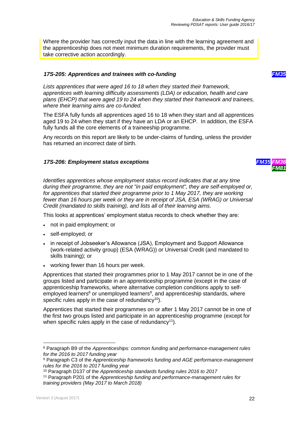Where the provider has correctly input the data in line with the learning agreement and the apprenticeship does not meet minimum duration requirements, the provider must take corrective action accordingly.

#### <span id="page-21-0"></span>*17S-205: Apprentices and trainees with co-funding FM35*

*Lists apprentices that were aged 16 to 18 when they started their framework, apprentices with learning difficulty assessments (LDA) or education, health and care plans (EHCP) that were aged 19 to 24 when they started their framework and trainees, where their learning aims are co-funded.*

The ESFA fully funds all apprentices aged 16 to 18 when they start and all apprentices aged 19 to 24 when they start if they have an LDA or an EHCP. In addition, the ESFA fully funds all the core elements of a traineeship programme.

Any records on this report are likely to be under-claims of funding, unless the provider has returned an incorrect date of birth.

#### <span id="page-21-1"></span>*17S-206: Employment status exceptions FM35 FM36*

*Identifies apprentices whose employment status record indicates that at any time during their programme, they are not "in paid employment", they are self-employed or,*  for apprentices that started their programme prior to 1 May 2017, they are working *fewer than 16 hours per week or they are in receipt of JSA, ESA (WRAG) or Universal Credit (mandated to skills training), and lists all of their learning aims.*

This looks at apprentices' employment status records to check whether they are:

- not in paid employment; or
- self-employed; or
- in receipt of Jobseeker's Allowance (JSA), Employment and Support Allowance (work-related activity group) (ESA (WRAG)) or Universal Credit (and mandated to skills training); or
- working fewer than 16 hours per week.

Apprentices that started their programmes prior to 1 May 2017 cannot be in one of the groups listed and participate in an apprenticeship programme (except in the case of apprenticeship frameworks, where alternative completion conditions apply to selfemployed learners<sup>8</sup> or unemployed learners<sup>9</sup>, and apprenticeship standards, where specific rules apply in the case of redundancy<sup>10</sup>).

Apprentices that started their programmes on or after 1 May 2017 cannot be in one of the first two groups listed and participate in an apprenticeship programme (except for when specific rules apply in the case of redundancy<sup>11</sup>).

l <sup>8</sup> Paragraph B9 of the *Apprenticeships: common funding and performance-management rules for the 2016 to 2017 funding year*

<sup>9</sup> Paragraph C3 of the *Apprenticeship frameworks funding and AGE performance-management rules for the 2016 to 2017 funding year*

<sup>10</sup> Paragraph D137 of the *Apprenticeship standards funding rules 2016 to 2017*

<sup>11</sup> Paragraph P201 of the *Apprenticeship funding and performance-management rules for training providers (May 2017 to March 2018)*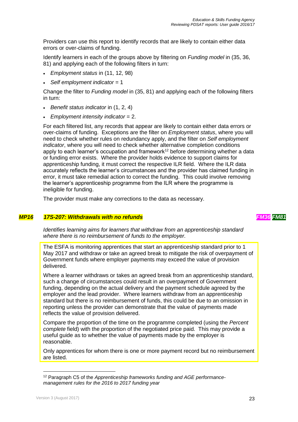Providers can use this report to identify records that are likely to contain either data errors or over-claims of funding.

Identify learners in each of the groups above by filtering on *Funding model* in (35, 36, 81) and applying each of the following filters in turn:

- *Employment status* in (11, 12, 98)
- *Self employment indicator* = 1

Change the filter to *Funding model* in (35, 81) and applying each of the following filters in turn:

- *Benefit status indicator* in (1, 2, 4)
- *Employment intensity indicator* = 2.

For each filtered list, any records that appear are likely to contain either data errors or over-claims of funding. Exceptions are the filter on *Employment status*, where you will need to check whether rules on redundancy apply, and the filter on *Self employment indicator*, where you will need to check whether alternative completion conditions apply to each learner's occupation and framework<sup>12</sup> before determining whether a data or funding error exists. Where the provider holds evidence to support claims for apprenticeship funding, it must correct the respective ILR field. Where the ILR data accurately reflects the learner's circumstances and the provider has claimed funding in error, it must take remedial action to correct the funding. This could involve removing the learner's apprenticeship programme from the ILR where the programme is ineligible for funding.

<span id="page-22-0"></span>The provider must make any corrections to the data as necessary.

#### *MP16 17S-207: Withdrawals with no refunds FM36 FM81*

*Identifies learning aims for learners that withdraw from an apprenticeship standard where there is no reimbursement of funds to the employer.*

The ESFA is monitoring apprentices that start an apprenticeship standard prior to 1 May 2017 and withdraw or take an agreed break to mitigate the risk of overpayment of Government funds where employer payments may exceed the value of provision delivered.

Where a learner withdraws or takes an agreed break from an apprenticeship standard, such a change of circumstances could result in an overpayment of Government funding, depending on the actual delivery and the payment schedule agreed by the employer and the lead provider. Where learners withdraw from an apprenticeship standard but there is no reimbursement of funds, this could be due to an omission in reporting unless the provider can demonstrate that the value of payments made reflects the value of provision delivered.

Compare the proportion of the time on the programme completed (using the *Percent complete* field) with the proportion of the negotiated price paid. This may provide a useful guide as to whether the value of payments made by the employer is reasonable.

Only apprentices for whom there is one or more payment record but no reimbursement are listed.

<sup>12</sup> Paragraph C5 of the *Apprenticeship frameworks funding and AGE performancemanagement rules for the 2016 to 2017 funding year*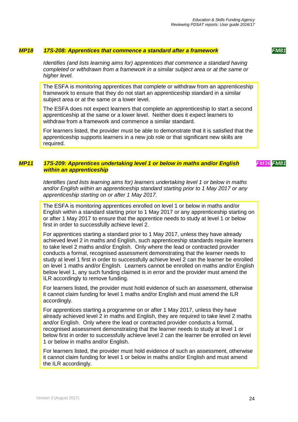#### *MP18 17S-208: Apprentices that commence a standard after a framework FM81*

<span id="page-23-0"></span>*Identifies (and lists learning aims for) apprentices that commence a standard having completed or withdrawn from a framework in a similar subject area or at the same or higher level.*

The ESFA is monitoring apprentices that complete or withdraw from an apprenticeship framework to ensure that they do not start an apprenticeship standard in a similar subject area or at the same or a lower level.

The ESFA does not expect learners that complete an apprenticeship to start a second apprenticeship at the same or a lower level. Neither does it expect learners to withdraw from a framework and commence a similar standard.

<span id="page-23-1"></span>For learners listed, the provider must be able to demonstrate that it is satisfied that the apprenticeship supports learners in a new job role or that significant new skills are required.

#### *MP11 17S-209: Apprentices undertaking level 1 or below in maths and/or English within an apprenticeship*

*FM36 FM81*

*Identifies (and lists learning aims for) learners undertaking level 1 or below in maths and/or English within an apprenticeship standard starting prior to 1 May 2017 or any apprenticeship starting on or after 1 May 2017.*

The ESFA is monitoring apprentices enrolled on level 1 or below in maths and/or English within a standard starting prior to 1 May 2017 or any apprenticeship starting on or after 1 May 2017 to ensure that the apprentice needs to study at level 1 or below first in order to successfully achieve level 2.

For apprentices starting a standard prior to 1 May 2017, unless they have already achieved level 2 in maths and English, such apprenticeship standards require learners to take level 2 maths and/or English. Only where the lead or contracted provider conducts a formal, recognised assessment demonstrating that the learner needs to study at level 1 first in order to successfully achieve level 2 can the learner be enrolled on level 1 maths and/or English. Learners cannot be enrolled on maths and/or English below level 1, any such funding claimed is in error and the provider must amend the ILR accordingly to remove funding.

For learners listed, the provider must hold evidence of such an assessment, otherwise it cannot claim funding for level 1 maths and/or English and must amend the ILR accordingly.

For apprentices starting a programme on or after 1 May 2017, unless they have already achieved level 2 in maths and English, they are required to take level 2 maths and/or English. Only where the lead or contracted provider conducts a formal, recognised assessment demonstrating that the learner needs to study at level 1 or below first in order to successfully achieve level 2 can the learner be enrolled on level 1 or below in maths and/or English.

For learners listed, the provider must hold evidence of such an assessment, otherwise it cannot claim funding for level 1 or below in maths and/or English and must amend the ILR accordingly.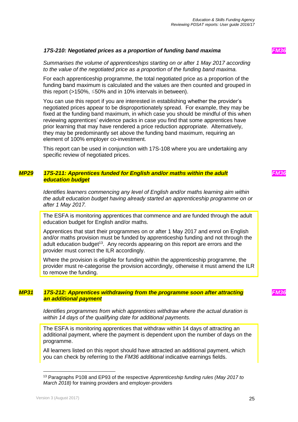#### <span id="page-24-0"></span>*17S-210: Negotiated prices as a proportion of funding band maxima FM36*

*Summarises the volume of apprenticeships starting on or after 1 May 2017 according to the value of the negotiated price as a proportion of the funding band maxima.*

For each apprenticeship programme, the total negotiated price as a proportion of the funding band maximum is calculated and the values are then counted and grouped in this report (>150%, ≤50% and in 10% intervals in between).

You can use this report if you are interested in establishing whether the provider's negotiated prices appear to be disproportionately spread. For example, they may be fixed at the funding band maximum, in which case you should be mindful of this when reviewing apprentices' evidence packs in case you find that some apprentices have prior learning that may have rendered a price reduction appropriate. Alternatively, they may be predominantly set above the funding band maximum, requiring an element of 100% employer co-investment.

<span id="page-24-1"></span>This report can be used in conjunction with 17S-108 where you are undertaking any specific review of negotiated prices.

#### *MP29 17S-211: Apprentices funded for English and/or maths within the adult education budget*

*Identifies learners commencing any level of English and/or maths learning aim within the adult education budget having already started an apprenticeship programme on or after 1 May 2017.*

The ESFA is monitoring apprentices that commence and are funded through the adult education budget for English and/or maths.

Apprentices that start their programmes on or after 1 May 2017 and enrol on English and/or maths provision must be funded by apprenticeship funding and not through the adult education budget<sup>13</sup>. Any records appearing on this report are errors and the provider must correct the ILR accordingly.

<span id="page-24-2"></span>Where the provision is eligible for funding within the apprenticeship programme, the provider must re-categorise the provision accordingly, otherwise it must amend the ILR to remove the funding.

#### *MP31 17S-212: Apprentices withdrawing from the programme soon after attracting an additional payment*

*Identifies programmes from which apprentices withdraw where the actual duration is within 14 days of the qualifying date for additional payments.*

The ESFA is monitoring apprentices that withdraw within 14 days of attracting an additional payment, where the payment is dependent upon the number of days on the programme.

All learners listed on this report should have attracted an additional payment, which you can check by referring to the *FM36 additional* indicative earnings fields.

l

*FM36*

*FM36*

<sup>13</sup> Paragraphs P108 and EP93 of the respective *Apprenticeship funding rules (May 2017 to March 2018)* for training providers and employer-providers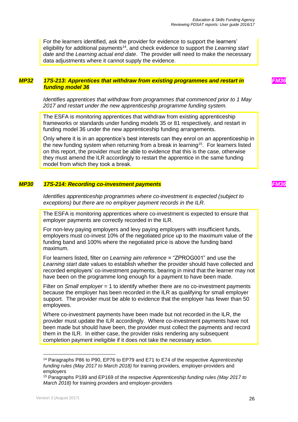For the learners identified, ask the provider for evidence to support the learners' eligibility for additional payments<sup>14</sup>, and check evidence to support the Learning start *date* and the *Learning actual end date*. The provider will need to make the necessary data adjustments where it cannot supply the evidence.

#### <span id="page-25-0"></span>*MP32 17S-213: Apprentices that withdraw from existing programmes and restart in funding model 36*

*Identifies apprentices that withdraw from programmes that commenced prior to 1 May 2017 and restart under the new apprenticeship programme funding system.*

The ESFA is monitoring apprentices that withdraw from existing apprenticeship frameworks or standards under funding models 35 or 81 respectively, and restart in funding model 36 under the new apprenticeship funding arrangements.

Only where it is in an apprentice's best interests can they enrol on an apprenticeship in the new funding system when returning from a break in learning<sup>15</sup>. For learners listed on this report, the provider must be able to evidence that this is the case, otherwise they must amend the ILR accordingly to restart the apprentice in the same funding model from which they took a break.

#### *MP30 17S-214: Recording co-investment payments FM36*

<span id="page-25-1"></span>*Identifies apprenticeship programmes where co-investment is expected (subject to exceptions) but there are no employer payment records in the ILR.*

The ESFA is monitoring apprentices where co-investment is expected to ensure that employer payments are correctly recorded in the ILR.

For non-levy paying employers and levy paying employers with insufficient funds, employers must co-invest 10% of the negotiated price up to the maximum value of the funding band and 100% where the negotiated price is above the funding band maximum.

For learners listed, filter on *Learning aim reference* = "ZPROG001" and use the *Learning start date* values to establish whether the provider should have collected and recorded employers' co-investment payments, bearing in mind that the learner may not have been on the programme long enough for a payment to have been made.

Filter on *Small employer* = 1 to identify whether there are no co-investment payments because the employer has been recorded in the ILR as qualifying for small employer support. The provider must be able to evidence that the employer has fewer than 50 employees.

Where co-investment payments have been made but not recorded in the ILR, the provider must update the ILR accordingly. Where co-investment payments have not been made but should have been, the provider must collect the payments and record them in the ILR. In either case, the provider risks rendering any subsequent completion payment ineligible if it does not take the necessary action.

<sup>14</sup> Paragraphs P86 to P90, EP76 to EP79 and E71 to E74 of the respective *Apprenticeship funding rules (May 2017 to March 2018)* for training providers, employer-providers and employers

<sup>15</sup> Paragraphs P189 and EP169 of the respective *Apprenticeship funding rules (May 2017 to March 2018)* for training providers and employer-providers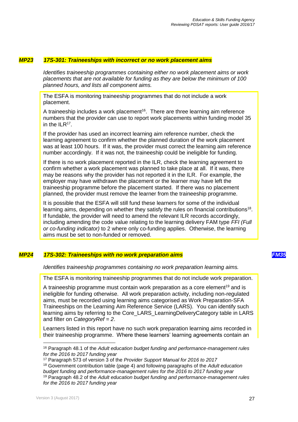#### *MP23* **17S-301: Traineeships with incorrect or no work placement aims**

<span id="page-26-0"></span>*Identifies traineeship programmes containing either no work placement aims or work placements that are not available for funding as they are below the minimum of 100 planned hours, and lists all component aims.*

The ESFA is monitoring traineeship programmes that do not include a work placement.

A traineeship includes a work placement<sup>16</sup>. There are three learning aim reference numbers that the provider can use to report work placements within funding model 35 in the  $ILR^{17}$ .

If the provider has used an incorrect learning aim reference number, check the learning agreement to confirm whether the planned duration of the work placement was at least 100 hours. If it was, the provider must correct the learning aim reference number accordingly. If it was not, the traineeship could be ineligible for funding.

If there is no work placement reported in the ILR, check the learning agreement to confirm whether a work placement was planned to take place at all. If it was, there may be reasons why the provider has not reported it in the ILR. For example, the employer may have withdrawn the placement or the learner may have left the traineeship programme before the placement started. If there was no placement planned, the provider must remove the learner from the traineeship programme.

It is possible that the ESFA will still fund these learners for some of the individual learning aims, depending on whether they satisfy the rules on financial contributions<sup>18</sup>. If fundable, the provider will need to amend the relevant ILR records accordingly, including amending the code value relating to the learning delivery FAM type *FFI (Full or co-funding indicator)* to 2 where only co-funding applies. Otherwise, the learning aims must be set to non-funded or removed.

#### *MP24 17S-302: Traineeships with no work preparation aims FM35*

<span id="page-26-1"></span>*Identifies traineeship programmes containing no work preparation learning aims.*

The ESFA is monitoring traineeship programmes that do not include work preparation.

A traineeship programme must contain work preparation as a core element<sup>19</sup> and is ineligible for funding otherwise. All work preparation activity, including non-regulated aims, must be recorded using learning aims categorised as Work Preparation-SFA Traineeships on the Learning Aim Reference Service (LARS). You can identify such learning aims by referring to the Core\_LARS\_LearningDeliveryCategory table in LARS and filter on *CategoryRef = 2*.

Learners listed in this report have no such work preparation learning aims recorded in their traineeship programme. Where these learners' learning agreements contain an

<sup>16</sup> Paragraph 48.1 of the *Adult education budget funding and performance-management rules for the 2016 to 2017 funding year*

<sup>17</sup> Paragraph 573 of version 3 of the *Provider Support Manual for 2016 to 2017*

<sup>18</sup> Government contribution table (page 4) and following paragraphs of the *Adult education budget funding and performance-management rules for the 2016 to 2017 funding year* <sup>19</sup> Paragraph 48.2 of the *Adult education budget funding and performance-management rules for the 2016 to 2017 funding year*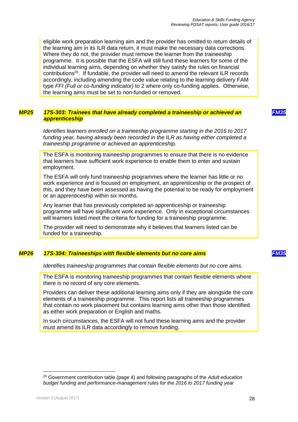eligible work preparation learning aim and the provider has omitted to return details of the learning aim in its ILR data return, it must make the necessary data corrections. Where they do not, the provider must remove the learner from the traineeship programme. It is possible that the ESFA will still fund these learners for some of the individual learning aims, depending on whether they satisfy the rules on financial contributions<sup>20</sup>. If fundable, the provider will need to amend the relevant ILR records accordingly, including amending the code value relating to the learning delivery FAM type *FFI (Full or co-funding indicator)* to 2 where only co-funding applies. Otherwise, the learning aims must be set to non-funded or removed.

#### <span id="page-27-0"></span>*MP25 17S-303: Trainees that have already completed a traineeship or achieved an apprenticeship*

*Identifies learners enrolled on a traineeship programme starting in the 2016 to 2017 funding year, having already been recorded in the ILR as having either completed a traineeship programme or achieved an apprenticeship.*

The ESFA is monitoring traineeship programmes to ensure that there is no evidence that learners have sufficient work experience to enable them to enter and sustain employment.

The ESFA will only fund traineeship programmes where the learner has little or no work experience and is focused on employment, an apprenticeship or the prospect of this, and they have been assessed as having the potential to be ready for employment or an apprenticeship within six months.

Any learner that has previously completed an apprenticeship or traineeship programme will have significant work experience. Only in exceptional circumstances will learners listed meet the criteria for funding for a traineeship programme.

<span id="page-27-1"></span>The provider will need to demonstrate why it believes that learners listed can be funded for a traineeship.

#### *MP26 17S-304: Traineeships with flexible elements but no core aims FM35*

#### *Identifies traineeship programmes that contain flexible elements but no core aims.*

The ESFA is monitoring traineeship programmes that contain flexible elements where there is no record of any core elements.

Providers can deliver these additional learning aims only if they are alongside the core elements of a traineeship programme. This report lists all traineeship programmes that contain no work placement but contains learning aims other than those identified as either work preparation or English and maths.

In such circumstances, the ESFA will not fund these learning aims and the provider must amend its ILR data accordingly to remove funding.

<sup>20</sup> Government contribution table (page 4) and following paragraphs of the *Adult education budget funding and performance-management rules for the 2016 to 2017 funding year*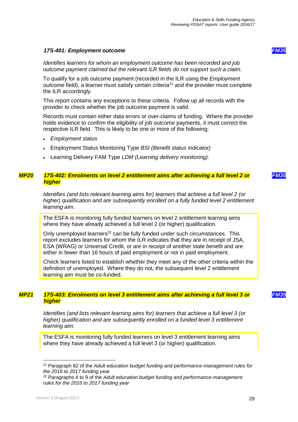#### <span id="page-28-0"></span>*17S-401: Employment outcome FM35*

*Identifies learners for whom an employment outcome has been recorded and job outcome payment claimed but the relevant ILR fields do not support such a claim.*

To qualify for a job outcome payment (recorded in the ILR using the *Employment outcome* field), a learner must satisfy certain criteria<sup>21</sup> and the provider must complete the ILR accordingly.

This report contains any exceptions to these criteria. Follow up all records with the provider to check whether the job outcome payment is valid.

Records must contain either data errors or over-claims of funding. Where the provider holds evidence to confirm the eligibility of job outcome payments, it must correct the respective ILR field. This is likely to be one or more of the following:

- *Employment status*
- Employment Status Monitoring Type *BSI (Benefit status indicator)*
- <span id="page-28-1"></span>Learning Delivery FAM Type *LDM (Learning delivery monitoring).*

#### *MP20 17S-402: Enrolments on level 2 entitlement aims after achieving a full level 2 or higher*

*Identifies (and lists relevant learning aims for) learners that achieve a full level 2 (or higher) qualification and are subsequently enrolled on a fully funded level 2 entitlement learning aim.*

The ESFA is monitoring fully funded learners on level 2 entitlement learning aims where they have already achieved a full level 2 (or higher) qualification.

Only unemployed learners<sup>22</sup> can be fully funded under such circumstances. This report excludes learners for whom the ILR indicates that they are in receipt of JSA, ESA (WRAG) or Universal Credit, or are in receipt of another state benefit and are either in fewer than 16 hours of paid employment or not in paid employment.

<span id="page-28-2"></span>Check learners listed to establish whether they meet any of the other criteria within the definition of unemployed. Where they do not, the subsequent level 2 entitlement learning aim must be co-funded.

#### *MP21 17S-403: Enrolments on level 3 entitlement aims after achieving a full level 3 or higher*

*Identifies (and lists relevant learning aims for) learners that achieve a full level 3 (or higher) qualification and are subsequently enrolled on a funded level 3 entitlement learning aim.*

The ESFA is monitoring fully funded learners on level 3 entitlement learning aims where they have already achieved a full level 3 (or higher) qualification.

l

*FM35*

**FM3** 

<sup>21</sup> Paragraph 82 of the *Adult education budget funding and performance-management rules for the 2016 to 2017 funding year*

<sup>22</sup> Paragraphs 4 to 9 of the *Adult education budget funding and performance-management rules for the 2016 to 2017 funding year*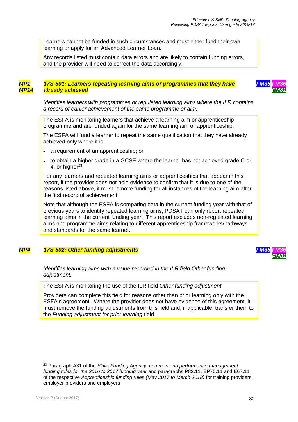Learners cannot be funded in such circumstances and must either fund their own learning or apply for an Advanced Learner Loan.

<span id="page-29-0"></span>Any records listed must contain data errors and are likely to contain funding errors, and the provider will need to correct the data accordingly.

#### *MP1 MP14 17S-501: Learners repeating learning aims or programmes that they have already achieved*



*Identifies learners with programmes or regulated learning aims where the ILR contains a record of earlier achievement of the same programme or aim.*

The ESFA is monitoring learners that achieve a learning aim or apprenticeship programme and are funded again for the same learning aim or apprenticeship.

The ESFA will fund a learner to repeat the same qualification that they have already achieved only where it is:

- a requirement of an apprenticeship; or
- to obtain a higher grade in a GCSE where the learner has not achieved grade C or 4, or higher $^{23}$ .

For any learners and repeated learning aims or apprenticeships that appear in this report, if the provider does not hold evidence to confirm that it is due to one of the reasons listed above, it must remove funding for all instances of the learning aim after the first record of achievement.

Note that although the ESFA is comparing data in the current funding year with that of previous years to identify repeated learning aims, PDSAT can only report repeated learning aims in the current funding year. This report excludes non-regulated learning aims and programme aims relating to different apprenticeship frameworks/pathways and standards for the same learner.

#### <span id="page-29-1"></span>*MP4 17S-502: Other funding adjustments FM35 FM36*



*Identifies learning aims with a value recorded in the ILR field Other funding adjustment.*

The ESFA is monitoring the use of the ILR field *Other funding adjustment*.

Providers can complete this field for reasons other than prior learning only with the ESFA's agreement. Where the provider does not have evidence of this agreement, it must remove the funding adjustments from this field and, if applicable, transfer them to the *Funding adjustment for prior learning* field.

<sup>23</sup> Paragraph A31 of the *Skills Funding Agency: common and performance management funding rules for the 2016 to 2017 funding year* and paragraphs P82.11, EP75.11 and E67.11 of the respective *Apprenticeship funding rules (May 2017 to March 2018)* for training providers, employer-providers and employers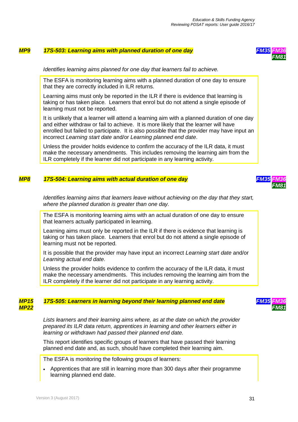#### <span id="page-30-0"></span>*MP9 17S-503: Learning aims with planned duration of one day FM35 FM36*



#### *Identifies learning aims planned for one day that learners fail to achieve.*

The ESFA is monitoring learning aims with a planned duration of one day to ensure that they are correctly included in ILR returns.

Learning aims must only be reported in the ILR if there is evidence that learning is taking or has taken place. Learners that enrol but do not attend a single episode of learning must not be reported.

It is unlikely that a learner will attend a learning aim with a planned duration of one day and either withdraw or fail to achieve. It is more likely that the learner will have enrolled but failed to participate. It is also possible that the provider may have input an incorrect *Learning start date* and/or *Learning planned end date*.

<span id="page-30-1"></span>Unless the provider holds evidence to confirm the accuracy of the ILR data, it must make the necessary amendments. This includes removing the learning aim from the ILR completely if the learner did not participate in any learning activity.

#### *MP8 17S-504: Learning aims with actual duration of one day FM35 FM36*



*Identifies learning aims that learners leave without achieving on the day that they start, where the planned duration is greater than one day.*

The ESFA is monitoring learning aims with an actual duration of one day to ensure that learners actually participated in learning.

Learning aims must only be reported in the ILR if there is evidence that learning is taking or has taken place. Learners that enrol but do not attend a single episode of learning must not be reported.

It is possible that the provider may have input an incorrect *Learning start date* and/or *Learning actual end date*.

<span id="page-30-2"></span>Unless the provider holds evidence to confirm the accuracy of the ILR data, it must make the necessary amendments. This includes removing the learning aim from the ILR completely if the learner did not participate in any learning activity.

#### *MP15 MP22 17S-505: Learners in learning beyond their learning planned end date FM35 FM36*

*Lists learners and their learning aims where, as at the date on which the provider prepared its ILR data return, apprentices in learning and other learners either in learning or withdrawn had passed their planned end date.*

This report identifies specific groups of learners that have passed their learning planned end date and, as such, should have completed their learning aim.

The ESFA is monitoring the following groups of learners:

 Apprentices that are still in learning more than 300 days after their programme learning planned end date.

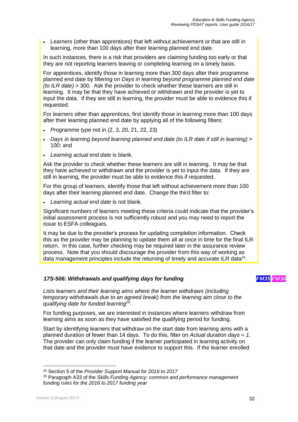Learners (other than apprentices) that left without achievement or that are still in learning, more than 100 days after their learning planned end date.

In such instances, there is a risk that providers are claiming funding too early or that they are not reporting learners leaving or completing learning on a timely basis.

For apprentices, identify those in learning more than 300 days after their programme planned end date by filtering on *Days in learning beyond programme planned end date (to ILR date)* > 300. Ask the provider to check whether these learners are still in learning. It may be that they have achieved or withdrawn and the provider is yet to input the data. If they are still in learning, the provider must be able to evidence this if requested.

For learners other than apprentices, first identify those in learning more than 100 days after their learning planned end date by applying all of the following filters:

- *Programme type* not in (2, 3, 20, 21, 22, 23)
- *Days in learning beyond learning planned end date (to ILR date if still in learning)* > 100; and
- *Learning actual end date* is blank.

Ask the provider to check whether these learners are still in learning. It may be that they have achieved or withdrawn and the provider is yet to input the data. If they are still in learning, the provider must be able to evidence this if requested.

For this group of learners, identify those that left without achievement more than 100 days after their learning planned end date. Change the third filter to:

*Learning actual end date* is not blank.

Significant numbers of learners meeting these criteria could indicate that the provider's initial assessment process is not sufficiently robust and you may need to report the issue to ESFA colleagues.

It may be due to the provider's process for updating completion information. Check this as the provider may be planning to update them all at once in time for the final ILR return. In this case, further checking may be required later in the assurance review process. Note that you should discourage the provider from this way of working as data management principles include the returning of timely and accurate ILR data $^{24}$ .

#### <span id="page-31-0"></span>*17S-506: Withdrawals and qualifying days for funding FM35 FM36*

*Lists learners and their learning aims where the learner withdraws (including temporary withdrawals due to an agreed break) from the learning aim close to the qualifying date for funded learning<sup>25</sup> .*

For funding purposes, we are interested in instances where learners withdraw from learning aims as soon as they have satisfied the qualifying period for funding.

Start by identifying learners that withdraw on the start date from learning aims with a planned duration of fewer than 14 days. To do this, filter on *Actual duration days = 1*. The provider can only claim funding if the learner participated in learning activity on that date and the provider must have evidence to support this. If the learner enrolled

<sup>24</sup> Section 5 of the *Provider Support Manual for 2016 to 2017*

<sup>25</sup> Paragraph A33 of the *Skills Funding Agency: common and performance management funding rules for the 2016 to 2017 funding year*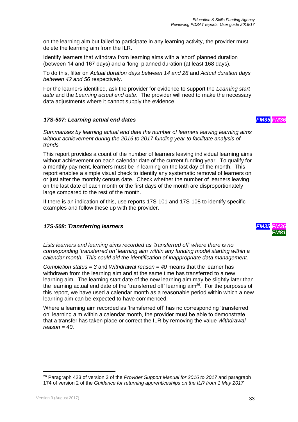on the learning aim but failed to participate in any learning activity, the provider must delete the learning aim from the ILR.

Identify learners that withdraw from learning aims with a 'short' planned duration (between 14 and 167 days) and a 'long' planned duration (at least 168 days).

To do this, filter on *Actual duration days between 14 and 28* and *Actual duration days between 42 and 56* respectively.

For the learners identified, ask the provider for evidence to support the *Learning start date* and the *Learning actual end date*. The provider will need to make the necessary data adjustments where it cannot supply the evidence.

#### <span id="page-32-0"></span>*17S-507: Learning actual end dates FM35 FM36*

*Summarises by learning actual end date the number of learners leaving learning aims without achievement during the 2016 to 2017 funding year to facilitate analysis of trends.*

This report provides a count of the number of learners leaving individual learning aims without achievement on each calendar date of the current funding year. To qualify for a monthly payment, learners must be in learning on the last day of the month. This report enables a simple visual check to identify any systematic removal of learners on or just after the monthly census date. Check whether the number of learners leaving on the last date of each month or the first days of the month are disproportionately large compared to the rest of the month.

If there is an indication of this, use reports 17S-101 and 17S-108 to identify specific examples and follow these up with the provider.

#### <span id="page-32-1"></span>*17S-508: Transferring learners*



*Lists learners and learning aims recorded as 'transferred off' where there is no corresponding 'transferred on' learning aim within any funding model starting within a calendar month. This could aid the identification of inappropriate data management.*

*Completion status = 3* and *Withdrawal reason = 40* means that the learner has withdrawn from the learning aim and at the same time has transferred to a new learning aim. The learning start date of the new learning aim may be slightly later than the learning actual end date of the 'transferred off' learning aim<sup>26</sup>. For the purposes of this report, we have used a calendar month as a reasonable period within which a new learning aim can be expected to have commenced.

Where a learning aim recorded as 'transferred off' has no corresponding 'transferred on' learning aim within a calendar month, the provider must be able to demonstrate that a transfer has taken place or correct the ILR by removing the value *Withdrawal reason = 40*.

<sup>26</sup> Paragraph 423 of version 3 of the *Provider Support Manual for 2016 to 2017* and paragraph 174 of version 2 of the *Guidance for returning apprenticeships on the ILR from 1 May 2017*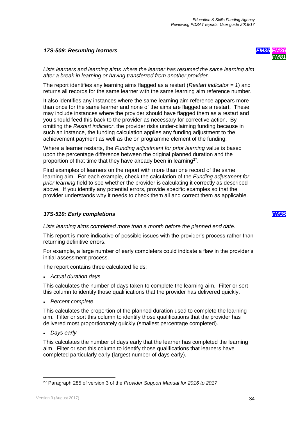#### <span id="page-33-0"></span>*17S-509: Resuming learners*



*Lists learners and learning aims where the learner has resumed the same learning aim after a break in learning or having transferred from another provider.*

The report identifies any learning aims flagged as a restart (*Restart indicator = 1*) and returns all records for the same learner with the same learning aim reference number.

It also identifies any instances where the same learning aim reference appears more than once for the same learner and none of the aims are flagged as a restart. These may include instances where the provider should have flagged them as a restart and you should feed this back to the provider as necessary for corrective action. By omitting the *Restart indicator*, the provider risks under-claiming funding because in such an instance, the funding calculation applies any funding adjustment to the achievement payment as well as the on programme element of the funding.

Where a learner restarts, the *Funding adjustment for prior learning* value is based upon the percentage difference between the original planned duration and the proportion of that time that they have already been in learning<sup>27</sup>.

Find examples of learners on the report with more than one record of the same learning aim. For each example, check the calculation of the *Funding adjustment for prior learning* field to see whether the provider is calculating it correctly as described above. If you identify any potential errors, provide specific examples so that the provider understands why it needs to check them all and correct them as applicable.

#### <span id="page-33-1"></span>*17S-510: Early completions FM35*

*Lists learning aims completed more than a month before the planned end date.*

This report is more indicative of possible issues with the provider's process rather than returning definitive errors.

For example, a large number of early completers could indicate a flaw in the provider's initial assessment process.

The report contains three calculated fields:

*Actual duration days*

This calculates the number of days taken to complete the learning aim. Filter or sort this column to identify those qualifications that the provider has delivered quickly.

*Percent complete*

This calculates the proportion of the planned duration used to complete the learning aim. Filter or sort this column to identify those qualifications that the provider has delivered most proportionately quickly (smallest percentage completed).

*Days early*

This calculates the number of days early that the learner has completed the learning aim. Filter or sort this column to identify those qualifications that learners have completed particularly early (largest number of days early).

<sup>27</sup> Paragraph 285 of version 3 of the *Provider Support Manual for 2016 to 2017*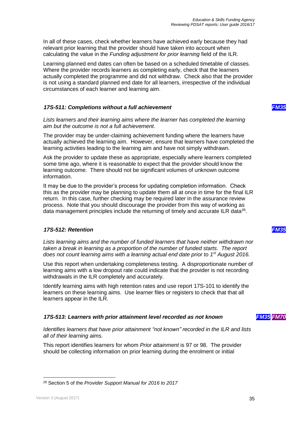In all of these cases, check whether learners have achieved early because they had relevant prior learning that the provider should have taken into account when calculating the value in the *Funding adjustment for prior learning* field of the ILR.

Learning planned end dates can often be based on a scheduled timetable of classes. Where the provider records learners as completing early, check that the learners actually completed the programme and did not withdraw. Check also that the provider is not using a standard planned end date for all learners, irrespective of the individual circumstances of each learner and learning aim.

#### <span id="page-34-0"></span>*17S-511: Completions without a full achievement FM35*

*Lists learners and their learning aims where the learner has completed the learning aim but the outcome is not a full achievement.*

The provider may be under-claiming achievement funding where the learners have actually achieved the learning aim. However, ensure that learners have completed the learning activities leading to the learning aim and have not simply withdrawn.

Ask the provider to update these as appropriate, especially where learners completed some time ago, where it is reasonable to expect that the provider should know the learning outcome. There should not be significant volumes of unknown outcome information.

It may be due to the provider's process for updating completion information. Check this as the provider may be planning to update them all at once in time for the final ILR return. In this case, further checking may be required later in the assurance review process. Note that you should discourage the provider from this way of working as data management principles include the returning of timely and accurate ILR data $^{28}$ .

#### <span id="page-34-1"></span>*17S-512: Retention FM35*

*Lists learning aims and the number of funded learners that have neither withdrawn nor taken a break in learning as a proportion of the number of funded starts. The report does not count learning aims with a learning actual end date prior to 1st August 2016.*

Use this report when undertaking completeness testing. A disproportionate number of learning aims with a low dropout rate could indicate that the provider is not recording withdrawals in the ILR completely and accurately.

Identify learning aims with high retention rates and use report 17S-101 to identify the learners on these learning aims. Use learner files or registers to check that that all learners appear in the ILR.

#### <span id="page-34-2"></span>*17S-513: Learners with prior attainment level recorded as not known FM35 FM70*

*Identifies learners that have prior attainment "not known" recorded in the ILR and lists all of their learning aims.*

This report identifies learners for whom *Prior attainment* is 97 or 98. The provider should be collecting information on prior learning during the enrolment or initial

l <sup>28</sup> Section 5 of the *Provider Support Manual for 2016 to 2017*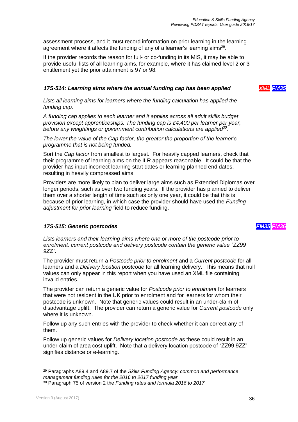assessment process, and it must record information on prior learning in the learning agreement where it affects the funding of any of a learner's learning aims<sup>29</sup>.

If the provider records the reason for full- or co-funding in its MIS, it may be able to provide useful lists of all learning aims, for example, where it has claimed level 2 or 3 entitlement yet the prior attainment is 97 or 98.

#### <span id="page-35-0"></span>*17S-514: Learning aims where the annual funding cap has been applied XML FM35*

*Lists all learning aims for learners where the funding calculation has applied the funding cap.*

*A funding cap applies to each learner and it applies across all adult skills budget provision except apprenticeships. The funding cap is £4,400 per learner per year, before any weightings or government contribution calculations are applied<sup>30</sup> .*

*The lower the value of the Cap factor, the greater the proportion of the learner's programme that is not being funded.*

Sort the *Cap factor* from smallest to largest. For heavily capped learners, check that their programme of learning aims on the ILR appears reasonable. It could be that the provider has input incorrect learning start dates or learning planned end dates, resulting in heavily compressed aims.

Providers are more likely to plan to deliver large aims such as Extended Diplomas over longer periods, such as over two funding years. If the provider has planned to deliver them over a shorter length of time such as only one year, it could be that this is because of prior learning, in which case the provider should have used the *Funding adjustment for prior learning* field to reduce funding.

#### <span id="page-35-1"></span>*17S-515: Generic postcodes FM35 FM36*

*Lists learners and their learning aims where one or more of the postcode prior to enrolment, current postcode and delivery postcode contain the generic value "ZZ99 9ZZ".*

The provider must return a *Postcode prior to enrolment* and a *Current postcode* for all learners and a *Delivery location postcode* for all learning delivery. This means that null values can only appear in this report when you have used an XML file containing invalid entries.

The provider can return a generic value for *Postcode prior to enrolment* for learners that were not resident in the UK prior to enrolment and for learners for whom their postcode is unknown. Note that generic values could result in an under-claim of disadvantage uplift. The provider can return a generic value for *Current postcode* only where it is unknown.

Follow up any such entries with the provider to check whether it can correct any of them.

Follow up generic values for *Delivery location postcode* as these could result in an under-claim of area cost uplift. Note that a delivery location postcode of "ZZ99 9ZZ" signifies distance or e-learning.

l <sup>29</sup> Paragraphs A89.4 and A89.7 of the *Skills Funding Agency: common and performance management funding rules for the 2016 to 2017 funding year*

<sup>30</sup> Paragraph 75 of version 2 the *Funding rates and formula 2016 to 2017*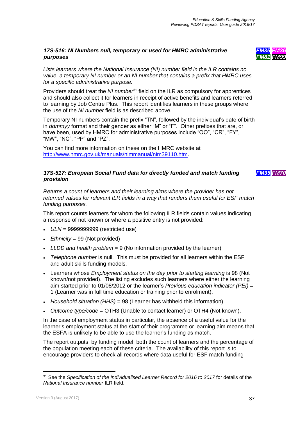#### <span id="page-36-0"></span>*17S-516: NI Numbers null, temporary or used for HMRC administrative purposes*



*FM35 FM70*

*Lists learners where the National Insurance (NI) number field in the ILR contains no value, a temporary NI number or an NI number that contains a prefix that HMRC uses for a specific administrative purpose.*

Providers should treat the *NI number*<sup>31</sup> field on the ILR as compulsory for apprentices and should also collect it for learners in receipt of active benefits and learners referred to learning by Job Centre Plus. This report identifies learners in these groups where the use of the *NI number* field is as described above.

Temporary NI numbers contain the prefix "TN", followed by the individual's date of birth in *ddmmyy* format and their gender as either "M" or "F". Other prefixes that are, or have been, used by HMRC for administrative purposes include "OO", "CR", "FY", "MW", "NC", "PP" and "PZ".

You can find more information on these on the HMRC website at [http://www.hmrc.gov.uk/manuals/nimmanual/nim39110.htm.](http://www.hmrc.gov.uk/manuals/nimmanual/nim39110.htm)

#### <span id="page-36-1"></span>*17S-517: European Social Fund data for directly funded and match funding provision*

*Returns a count of learners and their learning aims where the provider has not returned values for relevant ILR fields in a way that renders them useful for ESF match funding purposes.*

This report counts learners for whom the following ILR fields contain values indicating a response of not known or where a positive entry is not provided:

- *ULN* = 9999999999 (restricted use)
- *Ethnicity* = 99 (Not provided)
- *LLDD and health problem* = 9 (No information provided by the learner)
- *Telephone number* is null. This must be provided for all learners within the ESF and adult skills funding models.
- Learners whose *Employment status on the day prior to starting learning* is 98 (Not known/not provided). The listing excludes such learners where either the learning aim started prior to 01/08/2012 or the learner's *Previous education indicator (PEI)* = 1 (Learner was in full time education or training prior to enrolment).
- *Household situation (HHS)* = 98 (Learner has withheld this information)
- *Outcome type/code* = OTH3 (Unable to contact learner) or OTH4 (Not known).

In the case of employment status in particular, the absence of a useful value for the learner's employment status at the start of their programme or learning aim means that the ESFA is unlikely to be able to use the learner's funding as match.

The report outputs, by funding model, both the count of learners and the percentage of the population meeting each of these criteria. The availability of this report is to encourage providers to check all records where data useful for ESF match funding

<sup>31</sup> See the *Specification of the Individualised Learner Record for 2016 to 2017* for details of the *National Insurance number* ILR field.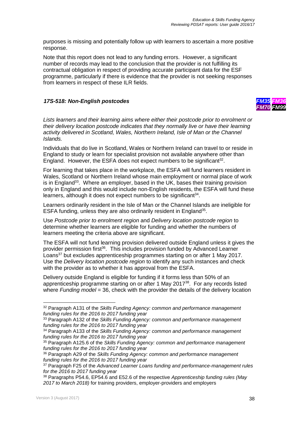purposes is missing and potentially follow up with learners to ascertain a more positive response.

Note that this report does not lead to any funding errors. However, a significant number of records may lead to the conclusion that the provider is not fulfilling its contractual obligation in respect of providing accurate participant data for the ESF programme, particularly if there is evidence that the provider is not seeking responses from learners in respect of these ILR fields.

#### <span id="page-37-0"></span>*17S-518: Non-English postcodes*



*Lists learners and their learning aims where either their postcode prior to enrolment or their delivery location postcode indicates that they normally live or have their learning activity delivered in Scotland, Wales, Northern Ireland, Isle of Man or the Channel Islands.*

Individuals that do live in Scotland, Wales or Northern Ireland can travel to or reside in England to study or learn for specialist provision not available anywhere other than England. However, the ESFA does not expect numbers to be significant<sup>32</sup>.

For learning that takes place in the workplace, the ESFA will fund learners resident in Wales, Scotland or Northern Ireland whose main employment or normal place of work is in England<sup>33</sup>. Where an employer, based in the UK, bases their training provision only in England and this would include non-English residents, the ESFA will fund these learners, although it does not expect numbers to be significant $34$ .

Learners ordinarily resident in the Isle of Man or the Channel Islands are ineligible for ESFA funding, unless they are also ordinarily resident in England<sup>35</sup>.

Use *Postcode prior to enrolment region* and *Delivery location postcode region* to determine whether learners are eligible for funding and whether the numbers of learners meeting the criteria above are significant.

The ESFA will not fund learning provision delivered outside England unless it gives the provider permission first<sup>36</sup>. This includes provision funded by Advanced Learner Loans<sup>37</sup> but excludes apprenticeship programmes starting on or after 1 May 2017. Use the *Delivery location postcode region* to identify any such instances and check with the provider as to whether it has approval from the ESFA.

Delivery outside England is eligible for funding if it forms less than 50% of an apprenticeship programme starting on or after 1 May 2017<sup>38</sup>. For any records listed where *Funding model* = 36, check with the provider the details of the delivery location

l <sup>32</sup> Paragraph A131 of the *Skills Funding Agency: common and performance management funding rules for the 2016 to 2017 funding year*

<sup>33</sup> Paragraph A132 of the *Skills Funding Agency: common and performance management funding rules for the 2016 to 2017 funding year*

<sup>34</sup> Paragraph A133 of the *Skills Funding Agency: common and performance management funding rules for the 2016 to 2017 funding year*

<sup>35</sup> Paragraph A125.6 of the *Skills Funding Agency: common and performance management funding rules for the 2016 to 2017 funding year*

<sup>36</sup> Paragraph A29 of the *Skills Funding Agency: common and performance management funding rules for the 2016 to 2017 funding year*

<sup>37</sup> Paragraph F25 of the *Advanced Learner Loans funding and performance-management rules for the 2016 to 2017 funding year*

<sup>38</sup> Paragraphs P54.6, EP54.6 and E52.6 of the respective *Apprenticeship funding rules (May 2017 to March 2018)* for training providers, employer-providers and employers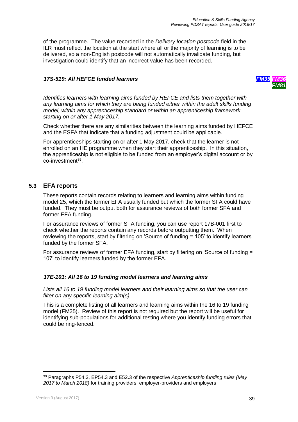of the programme. The value recorded in the *Delivery location postcode* field in the ILR must reflect the location at the start where all or the majority of learning is to be delivered, so a non-English postcode will not automatically invalidate funding, but investigation could identify that an incorrect value has been recorded.

#### <span id="page-38-0"></span>*17S-519: All HEFCE funded learners FM35 FM36*



*Identifies learners with learning aims funded by HEFCE and lists them together with any learning aims for which they are being funded either within the adult skills funding model, within any apprenticeship standard or within an apprenticeship framework starting on or after 1 May 2017.*

Check whether there are any similarities between the learning aims funded by HEFCE and the ESFA that indicate that a funding adjustment could be applicable.

For apprenticeships starting on or after 1 May 2017, check that the learner is not enrolled on an HE programme when they start their apprenticeship. In this situation, the apprenticeship is not eligible to be funded from an employer's digital account or by co-investment<sup>39</sup>.

### <span id="page-38-1"></span>**5.3 EFA reports**

These reports contain records relating to learners and learning aims within funding model 25, which the former EFA usually funded but which the former SFA could have funded. They must be output both for assurance reviews of both former SFA and former EFA funding.

For assurance reviews of former SFA funding, you can use report 17B-001 first to check whether the reports contain any records before outputting them. When reviewing the reports, start by filtering on 'Source of funding = 105' to identify learners funded by the former SFA.

For assurance reviews of former EFA funding, start by filtering on 'Source of funding = 107' to identify learners funded by the former EFA.

#### <span id="page-38-2"></span>*17E-101: All 16 to 19 funding model learners and learning aims*

*Lists all 16 to 19 funding model learners and their learning aims so that the user can filter on any specific learning aim(s).*

This is a complete listing of all learners and learning aims within the 16 to 19 funding model (FM25). Review of this report is not required but the report will be useful for identifying sub-populations for additional testing where you identify funding errors that could be ring-fenced.

<sup>39</sup> Paragraphs P54.3, EP54.3 and E52.3 of the respective *Apprenticeship funding rules (May 2017 to March 2018)* for training providers, employer-providers and employers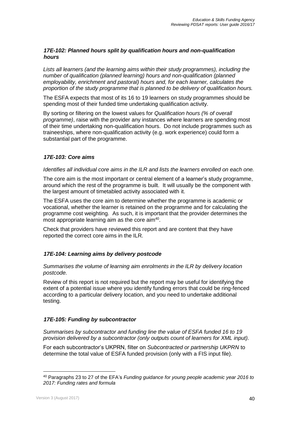#### <span id="page-39-0"></span>*17E-102: Planned hours split by qualification hours and non-qualification hours*

*Lists all learners (and the learning aims within their study programmes), including the number of qualification (planned learning) hours and non-qualification (planned employability, enrichment and pastoral) hours and, for each learner, calculates the proportion of the study programme that is planned to be delivery of qualification hours.*

The ESFA expects that most of its 16 to 19 learners on study programmes should be spending most of their funded time undertaking qualification activity.

By sorting or filtering on the lowest values for *Qualification hours (% of overall programme)*, raise with the provider any instances where learners are spending most of their time undertaking non-qualification hours. Do not include programmes such as traineeships, where non-qualification activity (e.g. work experience) could form a substantial part of the programme.

#### <span id="page-39-1"></span>*17E-103: Core aims*

#### *Identifies all individual core aims in the ILR and lists the learners enrolled on each one.*

The core aim is the most important or central element of a learner's study programme, around which the rest of the programme is built. It will usually be the component with the largest amount of timetabled activity associated with it.

The ESFA uses the core aim to determine whether the programme is academic or vocational, whether the learner is retained on the programme and for calculating the programme cost weighting. As such, it is important that the provider determines the most appropriate learning aim as the core aim<sup>40</sup>.

Check that providers have reviewed this report and are content that they have reported the correct core aims in the ILR.

#### <span id="page-39-2"></span>*17E-104: Learning aims by delivery postcode*

*Summarises the volume of learning aim enrolments in the ILR by delivery location postcode.*

Review of this report is not required but the report may be useful for identifying the extent of a potential issue where you identify funding errors that could be ring-fenced according to a particular delivery location, and you need to undertake additional testing.

#### <span id="page-39-3"></span>*17E-105: Funding by subcontractor*

*Summarises by subcontractor and funding line the value of ESFA funded 16 to 19 provision delivered by a subcontractor (only outputs count of learners for XML input).*

For each subcontractor's UKPRN, filter on *Subcontracted or partnership UKPRN* to determine the total value of ESFA funded provision (only with a FIS input file).

<sup>40</sup> Paragraphs 23 to 27 of the EFA's *Funding guidance for young people academic year 2016 to 2017: Funding rates and formula*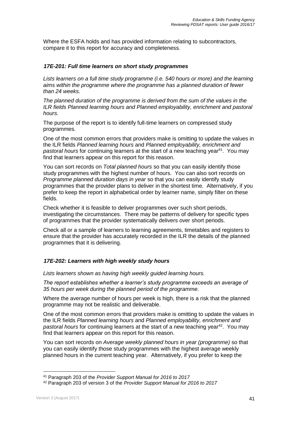Where the ESFA holds and has provided information relating to subcontractors, compare it to this report for accuracy and completeness.

#### <span id="page-40-0"></span>*17E-201: Full time learners on short study programmes*

*Lists learners on a full time study programme (i.e. 540 hours or more) and the learning aims within the programme where the programme has a planned duration of fewer than 24 weeks.*

*The planned duration of the programme is derived from the sum of the values in the ILR fields Planned learning hours and Planned employability, enrichment and pastoral hours.*

The purpose of the report is to identify full-time learners on compressed study programmes.

One of the most common errors that providers make is omitting to update the values in the ILR fields *Planned learning hours* and *Planned employability, enrichment and pastoral hours* for continuing learners at the start of a new teaching year<sup>41</sup>. You may find that learners appear on this report for this reason.

You can sort records on *Total planned hours* so that you can easily identify those study programmes with the highest number of hours. You can also sort records on *Programme planned duration days in year* so that you can easily identify study programmes that the provider plans to deliver in the shortest time. Alternatively, if you prefer to keep the report in alphabetical order by learner name, simply filter on these fields.

Check whether it is feasible to deliver programmes over such short periods, investigating the circumstances. There may be patterns of delivery for specific types of programmes that the provider systematically delivers over short periods.

Check all or a sample of learners to learning agreements, timetables and registers to ensure that the provider has accurately recorded in the ILR the details of the planned programmes that it is delivering.

#### <span id="page-40-1"></span>*17E-202: Learners with high weekly study hours*

*Lists learners shown as having high weekly guided learning hours.*

*The report establishes whether a learner's study programme exceeds an average of 35 hours per week during the planned period of the programme.*

Where the average number of hours per week is high, there is a risk that the planned programme may not be realistic and deliverable.

One of the most common errors that providers make is omitting to update the values in the ILR fields *Planned learning hours* and *Planned employability, enrichment and pastoral hours* for continuing learners at the start of a new teaching year<sup>42</sup>. You may find that learners appear on this report for this reason.

You can sort records on *Average weekly planned hours in year (programme)* so that you can easily identify those study programmes with the highest average weekly planned hours in the current teaching year. Alternatively, if you prefer to keep the

<sup>41</sup> Paragraph 203 of the *Provider Support Manual for 2016 to 2017*

<sup>42</sup> Paragraph 203 of version 3 of the *Provider Support Manual for 2016 to 2017*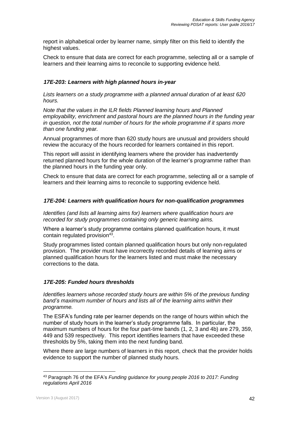report in alphabetical order by learner name, simply filter on this field to identify the highest values.

Check to ensure that data are correct for each programme, selecting all or a sample of learners and their learning aims to reconcile to supporting evidence held.

#### <span id="page-41-0"></span>*17E-203: Learners with high planned hours in-year*

*Lists learners on a study programme with a planned annual duration of at least 620 hours.*

*Note that the values in the ILR fields Planned learning hours and Planned employability, enrichment and pastoral hours are the planned hours in the funding year in question, not the total number of hours for the whole programme if it spans more than one funding year.*

Annual programmes of more than 620 study hours are unusual and providers should review the accuracy of the hours recorded for learners contained in this report.

This report will assist in identifying learners where the provider has inadvertently returned planned hours for the whole duration of the learner's programme rather than the planned hours in the funding year only.

Check to ensure that data are correct for each programme, selecting all or a sample of learners and their learning aims to reconcile to supporting evidence held.

#### <span id="page-41-1"></span>*17E-204: Learners with qualification hours for non-qualification programmes*

*Identifies (and lists all learning aims for) learners where qualification hours are recorded for study programmes containing only generic learning aims.*

Where a learner's study programme contains planned qualification hours, it must contain regulated provision<sup>43</sup>.

Study programmes listed contain planned qualification hours but only non-regulated provision. The provider must have incorrectly recorded details of learning aims or planned qualification hours for the learners listed and must make the necessary corrections to the data.

#### <span id="page-41-2"></span>*17E-205: Funded hours thresholds*

*Identifies learners whose recorded study hours are within 5% of the previous funding band's maximum number of hours and lists all of the learning aims within their programme.*

The ESFA's funding rate per learner depends on the range of hours within which the number of study hours in the learner's study programme falls. In particular, the maximum numbers of hours for the four part-time bands (1, 2, 3 and 4b) are 279, 359, 449 and 539 respectively. This report identifies learners that have exceeded these thresholds by 5%, taking them into the next funding band.

Where there are large numbers of learners in this report, check that the provider holds evidence to support the number of planned study hours.

<sup>43</sup> Paragraph 76 of the EFA's *Funding guidance for young people 2016 to 2017: Funding regulations April 2016*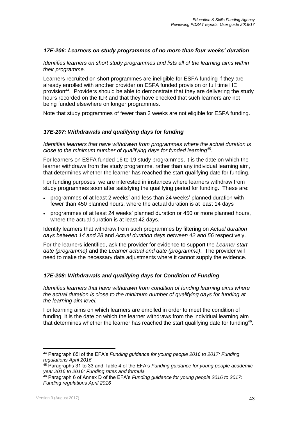#### <span id="page-42-0"></span>*17E-206: Learners on study programmes of no more than four weeks' duration*

*Identifies learners on short study programmes and lists all of the learning aims within their programme.*

Learners recruited on short programmes are ineligible for ESFA funding if they are already enrolled with another provider on ESFA funded provision or full time HE provision<sup>44</sup>. Providers should be able to demonstrate that they are delivering the study hours recorded on the ILR and that they have checked that such learners are not being funded elsewhere on longer programmes.

<span id="page-42-1"></span>Note that study programmes of fewer than 2 weeks are not eligible for ESFA funding.

#### *17E-207: Withdrawals and qualifying days for funding*

*Identifies learners that have withdrawn from programmes where the actual duration is close to the minimum number of qualifying days for funded learning<sup>45</sup> .*

For learners on ESFA funded 16 to 19 study programmes, it is the date on which the learner withdraws from the study programme, rather than any individual learning aim, that determines whether the learner has reached the start qualifying date for funding.

For funding purposes, we are interested in instances where learners withdraw from study programmes soon after satisfying the qualifying period for funding. These are:

- programmes of at least 2 weeks' and less than 24 weeks' planned duration with fewer than 450 planned hours, where the actual duration is at least 14 days
- programmes of at least 24 weeks' planned duration or 450 or more planned hours, where the actual duration is at least 42 days.

Identify learners that withdraw from such programmes by filtering on *Actual duration days between 14 and 28* and *Actual duration days between 42 and 56* respectively.

For the learners identified, ask the provider for evidence to support the *Learner start date (programme)* and the *Learner actual end date (programme)*. The provider will need to make the necessary data adjustments where it cannot supply the evidence.

#### <span id="page-42-2"></span>*17E-208: Withdrawals and qualifying days for Condition of Funding*

*Identifies learners that have withdrawn from condition of funding learning aims where the actual duration is close to the minimum number of qualifying days for funding at the learning aim level.*

For learning aims on which learners are enrolled in order to meet the condition of funding, it is the date on which the learner withdraws from the individual learning aim that determines whether the learner has reached the start qualifying date for funding<sup>46</sup>.

<sup>44</sup> Paragraph 85i of the EFA's *Funding guidance for young people 2016 to 2017: Funding regulations April 2016*

<sup>45</sup> Paragraphs 31 to 33 and Table 4 of the EFA's *Funding guidance for young people academic year 2016 to 2016: Funding rates and formula*

<sup>46</sup> Paragraph 6 of Annex D of the EFA's *Funding guidance for young people 2016 to 2017: Funding regulations April 2016*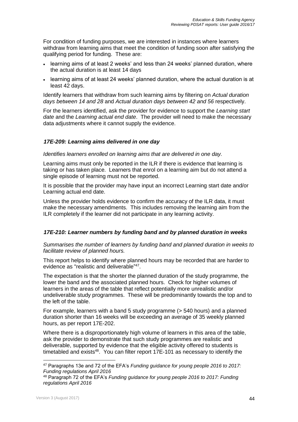For condition of funding purposes, we are interested in instances where learners withdraw from learning aims that meet the condition of funding soon after satisfying the qualifying period for funding. These are:

- learning aims of at least 2 weeks' and less than 24 weeks' planned duration, where the actual duration is at least 14 days
- learning aims of at least 24 weeks' planned duration, where the actual duration is at least 42 days.

Identify learners that withdraw from such learning aims by filtering on *Actual duration days between 14 and 28* and *Actual duration days between 42 and 56* respectively.

For the learners identified, ask the provider for evidence to support the *Learning start date* and the *Learning actual end date*. The provider will need to make the necessary data adjustments where it cannot supply the evidence.

#### <span id="page-43-0"></span>*17E-209: Learning aims delivered in one day*

*Identifies learners enrolled on learning aims that are delivered in one day.*

Learning aims must only be reported in the ILR if there is evidence that learning is taking or has taken place. Learners that enrol on a learning aim but do not attend a single episode of learning must not be reported.

It is possible that the provider may have input an incorrect Learning start date and/or Learning actual end date.

Unless the provider holds evidence to confirm the accuracy of the ILR data, it must make the necessary amendments. This includes removing the learning aim from the ILR completely if the learner did not participate in any learning activity.

#### <span id="page-43-1"></span>*17E-210: Learner numbers by funding band and by planned duration in weeks*

*Summarises the number of learners by funding band and planned duration in weeks to facilitate review of planned hours.*

This report helps to identify where planned hours may be recorded that are harder to evidence as "realistic and deliverable"<sup>47</sup>.

The expectation is that the shorter the planned duration of the study programme, the lower the band and the associated planned hours. Check for higher volumes of learners in the areas of the table that reflect potentially more unrealistic and/or undeliverable study programmes. These will be predominantly towards the top and to the left of the table.

For example, learners with a band 5 study programme (> 540 hours) and a planned duration shorter than 16 weeks will be exceeding an average of 35 weekly planned hours, as per report 17E-202.

Where there is a disproportionately high volume of learners in this area of the table, ask the provider to demonstrate that such study programmes are realistic and deliverable, supported by evidence that the eligible activity offered to students is timetabled and exists<sup>48</sup>. You can filter report 17E-101 as necessary to identify the

<sup>47</sup> Paragraphs 13e and 72 of the EFA's *Funding guidance for young people 2016 to 2017: Funding regulations April 2016*

<sup>48</sup> Paragraph 72 of the EFA's *Funding guidance for young people 2016 to 2017: Funding regulations April 2016*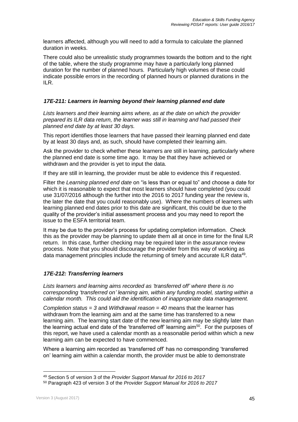learners affected, although you will need to add a formula to calculate the planned duration in weeks.

There could also be unrealistic study programmes towards the bottom and to the right of the table, where the study programme may have a particularly long planned duration for the number of planned hours. Particularly high volumes of these could indicate possible errors in the recording of planned hours or planned durations in the ILR.

#### <span id="page-44-0"></span>*17E-211: Learners in learning beyond their learning planned end date*

*Lists learners and their learning aims where, as at the date on which the provider prepared its ILR data return, the learner was still in learning and had passed their planned end date by at least 30 days.*

This report identifies those learners that have passed their learning planned end date by at least 30 days and, as such, should have completed their learning aim.

Ask the provider to check whether these learners are still in learning, particularly where the planned end date is some time ago. It may be that they have achieved or withdrawn and the provider is yet to input the data.

If they are still in learning, the provider must be able to evidence this if requested.

Filter the *Learning planned end date* on "is less than or equal to" and choose a date for which it is reasonable to expect that most learners should have completed (you could use 31/07/2016 although the further into the 2016 to 2017 funding year the review is, the later the date that you could reasonably use). Where the numbers of learners with learning planned end dates prior to this date are significant, this could be due to the quality of the provider's initial assessment process and you may need to report the issue to the ESFA territorial team.

It may be due to the provider's process for updating completion information. Check this as the provider may be planning to update them all at once in time for the final ILR return. In this case, further checking may be required later in the assurance review process. Note that you should discourage the provider from this way of working as data management principles include the returning of timely and accurate ILR data<sup>49</sup>.

#### <span id="page-44-1"></span>*17E-212: Transferring learners*

*Lists learners and learning aims recorded as 'transferred off' where there is no corresponding 'transferred on' learning aim, within any funding model, starting within a calendar month. This could aid the identification of inappropriate data management.*

*Completion status = 3* and *Withdrawal reason = 40* means that the learner has withdrawn from the learning aim and at the same time has transferred to a new learning aim. The learning start date of the new learning aim may be slightly later than the learning actual end date of the 'transferred off' learning aim<sup>50</sup>. For the purposes of this report, we have used a calendar month as a reasonable period within which a new learning aim can be expected to have commenced.

Where a learning aim recorded as 'transferred off' has no corresponding 'transferred on' learning aim within a calendar month, the provider must be able to demonstrate

<sup>49</sup> Section 5 of version 3 of the *Provider Support Manual for 2016 to 2017*

<sup>50</sup> Paragraph 423 of version 3 of the *Provider Support Manual for 2016 to 2017*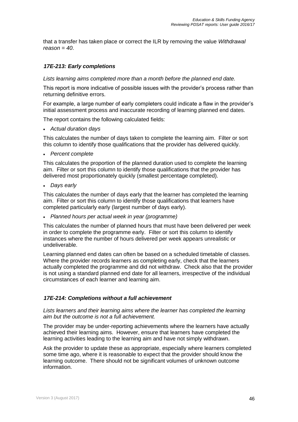that a transfer has taken place or correct the ILR by removing the value *Withdrawal reason = 40*.

#### <span id="page-45-0"></span>*17E-213: Early completions*

*Lists learning aims completed more than a month before the planned end date.*

This report is more indicative of possible issues with the provider's process rather than returning definitive errors.

For example, a large number of early completers could indicate a flaw in the provider's initial assessment process and inaccurate recording of learning planned end dates.

The report contains the following calculated fields:

*Actual duration days*

This calculates the number of days taken to complete the learning aim. Filter or sort this column to identify those qualifications that the provider has delivered quickly.

*Percent complete*

This calculates the proportion of the planned duration used to complete the learning aim. Filter or sort this column to identify those qualifications that the provider has delivered most proportionately quickly (smallest percentage completed).

*Days early*

This calculates the number of days early that the learner has completed the learning aim. Filter or sort this column to identify those qualifications that learners have completed particularly early (largest number of days early).

*Planned hours per actual week in year (programme)*

This calculates the number of planned hours that must have been delivered per week in order to complete the programme early. Filter or sort this column to identify instances where the number of hours delivered per week appears unrealistic or undeliverable.

Learning planned end dates can often be based on a scheduled timetable of classes. Where the provider records learners as completing early, check that the learners actually completed the programme and did not withdraw. Check also that the provider is not using a standard planned end date for all learners, irrespective of the individual circumstances of each learner and learning aim.

#### <span id="page-45-1"></span>*17E-214: Completions without a full achievement*

*Lists learners and their learning aims where the learner has completed the learning aim but the outcome is not a full achievement.*

The provider may be under-reporting achievements where the learners have actually achieved their learning aims. However, ensure that learners have completed the learning activities leading to the learning aim and have not simply withdrawn.

Ask the provider to update these as appropriate, especially where learners completed some time ago, where it is reasonable to expect that the provider should know the learning outcome. There should not be significant volumes of unknown outcome information.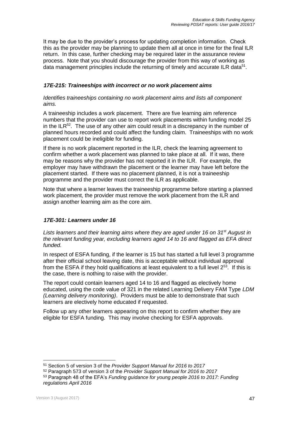It may be due to the provider's process for updating completion information. Check this as the provider may be planning to update them all at once in time for the final ILR return. In this case, further checking may be required later in the assurance review process. Note that you should discourage the provider from this way of working as data management principles include the returning of timely and accurate ILR data $51$ .

#### <span id="page-46-0"></span>*17E-215: Traineeships with incorrect or no work placement aims*

#### *Identifies traineeships containing no work placement aims and lists all component aims.*

A traineeship includes a work placement. There are five learning aim reference numbers that the provider can use to report work placements within funding model 25 in the ILR<sup>52</sup>. The use of any other aim could result in a discrepancy in the number of planned hours recorded and could affect the funding claim. Traineeships with no work placement could be ineligible for funding.

If there is no work placement reported in the ILR, check the learning agreement to confirm whether a work placement was planned to take place at all. If it was, there may be reasons why the provider has not reported it in the ILR. For example, the employer may have withdrawn the placement or the learner may have left before the placement started. If there was no placement planned, it is not a traineeship programme and the provider must correct the ILR as applicable.

Note that where a learner leaves the traineeship programme before starting a planned work placement, the provider must remove the work placement from the ILR and assign another learning aim as the core aim.

#### <span id="page-46-1"></span>*17E-301: Learners under 16*

*Lists learners and their learning aims where they are aged under 16 on 31st August in the relevant funding year, excluding learners aged 14 to 16 and flagged as EFA direct funded.*

In respect of ESFA funding, if the learner is 15 but has started a full level 3 programme after their official school leaving date, this is acceptable without individual approval from the ESFA if they hold qualifications at least equivalent to a full level  $2^{53}$ . If this is the case, there is nothing to raise with the provider.

The report could contain learners aged 14 to 16 and flagged as electively home educated, using the code value of 321 in the related Learning Delivery FAM Type *LDM (Learning delivery monitoring)*. Providers must be able to demonstrate that such learners are electively home educated if requested.

Follow up any other learners appearing on this report to confirm whether they are eligible for ESFA funding. This may involve checking for ESFA approvals.

<sup>51</sup> Section 5 of version 3 of the *Provider Support Manual for 2016 to 2017*

<sup>52</sup> Paragraph 573 of version 3 of the *Provider Support Manual for 2016 to 2017*

<sup>53</sup> Paragraph 48 of the EFA's *Funding guidance for young people 2016 to 2017: Funding regulations April 2016*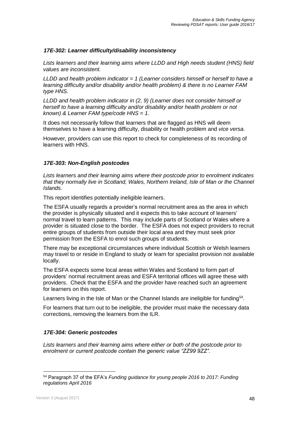#### <span id="page-47-0"></span>*17E-302: Learner difficulty/disability inconsistency*

*Lists learners and their learning aims where LLDD and High needs student (HNS) field values are inconsistent.*

*LLDD and health problem indicator = 1 (Learner considers himself or herself to have a learning difficulty and/or disability and/or health problem) & there is no Learner FAM type HNS.*

*LLDD and health problem indicator in (2, 9) (Learner does not consider himself or herself to have a learning difficulty and/or disability and/or health problem or not known) & Learner FAM type/code HNS = 1.*

It does not necessarily follow that learners that are flagged as HNS will deem themselves to have a learning difficulty, disability or health problem and *vice versa*.

However, providers can use this report to check for completeness of its recording of learners with HNS.

#### <span id="page-47-1"></span>*17E-303: Non-English postcodes*

*Lists learners and their learning aims where their postcode prior to enrolment indicates that they normally live in Scotland, Wales, Northern Ireland, Isle of Man or the Channel Islands.*

This report identifies potentially ineligible learners.

The ESFA usually regards a provider's normal recruitment area as the area in which the provider is physically situated and it expects this to take account of learners' normal travel to learn patterns. This may include parts of Scotland or Wales where a provider is situated close to the border. The ESFA does not expect providers to recruit entire groups of students from outside their local area and they must seek prior permission from the ESFA to enrol such groups of students.

There may be exceptional circumstances where individual Scottish or Welsh learners may travel to or reside in England to study or learn for specialist provision not available locally.

The ESFA expects some local areas within Wales and Scotland to form part of providers' normal recruitment areas and ESFA territorial offices will agree these with providers. Check that the ESFA and the provider have reached such an agreement for learners on this report.

Learners living in the Isle of Man or the Channel Islands are ineligible for funding<sup>54</sup>.

For learners that turn out to be ineligible, the provider must make the necessary data corrections, removing the learners from the ILR.

#### <span id="page-47-2"></span>*17E-304: Generic postcodes*

*Lists learners and their learning aims where either or both of the postcode prior to enrolment or current postcode contain the generic value "ZZ99 9ZZ".*

<sup>54</sup> Paragraph 37 of the EFA's *Funding guidance for young people 2016 to 2017: Funding regulations April 2016*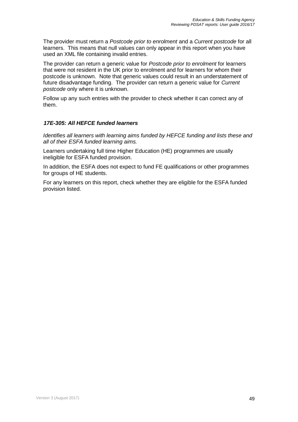The provider must return a *Postcode prior to enrolment* and a *Current postcode* for all learners. This means that null values can only appear in this report when you have used an XML file containing invalid entries.

The provider can return a generic value for *Postcode prior to enrolment* for learners that were not resident in the UK prior to enrolment and for learners for whom their postcode is unknown. Note that generic values could result in an understatement of future disadvantage funding. The provider can return a generic value for *Current postcode* only where it is unknown.

Follow up any such entries with the provider to check whether it can correct any of them.

#### <span id="page-48-0"></span>*17E-305: All HEFCE funded learners*

*Identifies all learners with learning aims funded by HEFCE funding and lists these and all of their ESFA funded learning aims.*

Learners undertaking full time Higher Education (HE) programmes are usually ineligible for ESFA funded provision.

In addition, the ESFA does not expect to fund FE qualifications or other programmes for groups of HE students.

For any learners on this report, check whether they are eligible for the ESFA funded provision listed.